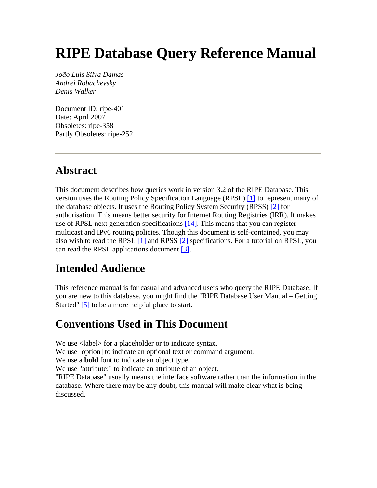# **RIPE Database Query Reference Manual**

*João Luis Silva Damas Andrei Robachevsky Denis Walker*

Document ID: ripe-401 Date: April 2007 Obsoletes: ripe-358 Partly Obsoletes: ripe-252

## **Abstract**

This document describes how queries work in version 3.2 of the RIPE Database. This version uses the Routing Policy Specification Language (RPSL) [\[1\]](#page-45-0) to represent many of the database objects. It uses the Routing Policy System Security (RPSS) [\[2\]](#page-45-0) for authorisation. This means better security for Internet Routing Registries (IRR). It makes use of RPSL next generation specifications [\[14\].](#page-46-0) This means that you can register multicast and IPv6 routing policies. Though this document is self-contained, you may also wish to read the RPSL  $[1]$  and RPSS  $[2]$  specifications. For a tutorial on RPSL, you can read the RPSL applications document [\[3\].](#page-45-0)

## **Intended Audience**

This reference manual is for casual and advanced users who query the RIPE Database. If you are new to this database, you might find the "RIPE Database User Manual – Getting Started" [\[5\]](#page-45-0) to be a more helpful place to start.

## **Conventions Used in This Document**

We use  $\langle$ label> for a placeholder or to indicate syntax.

We use [option] to indicate an optional text or command argument.

We use a **bold** font to indicate an object type.

We use "attribute:" to indicate an attribute of an object.

"RIPE Database" usually means the interface software rather than the information in the database. Where there may be any doubt, this manual will make clear what is being discussed.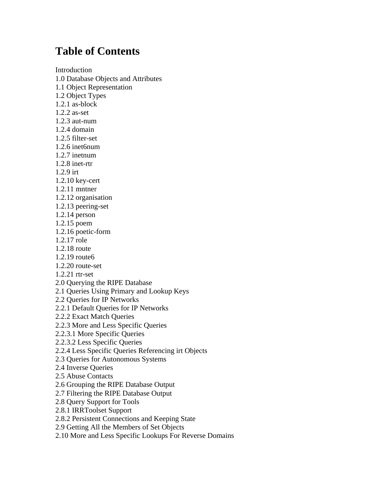## **Table of Contents**

[Introduction](#page-3-0) [1.0 Database Objects and Attributes](#page-3-0) [1.1 Object Representation](#page-4-0) [1.2 Object Types](#page-5-0) [1.2.1 as-block](#page-5-0) [1.2.2 as-set](#page-6-0) [1.2.3 aut-num](#page-6-0)  [1.2.4 domain](#page-6-0) [1.2.5 filter-set](#page-7-0) [1.2.6 inet6num](#page-7-0) [1.2.7 inetnum](#page-7-0) [1.2.8 inet-rtr](#page-7-0) [1.2.9 irt](#page-8-0) [1.2.10 key-cert](#page-8-0) [1.2.11 mntner](#page-8-0) [1.2.12 organisation](#page-9-0) [1.2.13 peering-set](#page-9-0) [1.2.14 person](#page-9-0) [1.2.15 poem](#page-10-0) [1.2.16 poetic-form](#page-10-0) [1.2.17 role](#page-10-0) [1.2.18 route](#page-10-0) [1.2.19 route6](#page-10-0) [1.2.20 route-set](#page-10-0) [1.2.21 rtr-set](#page-11-0)  [2.0 Querying the RIPE Database](#page-11-0) [2.1 Queries Using Primary and Lookup Keys](#page-12-0) [2.2 Queries for IP Networks](#page-12-0) [2.2.1 Default Queries for IP Networks](#page-14-0) [2.2.2 Exact Match Queries](#page-14-0) [2.2.3 More and Less Specific Queries](#page-14-0) [2.2.3.1 More Specific Queries](#page-14-0) [2.2.3.2 Less Specific Queries](#page-14-0) [2.2.4 Less Specific Queries Referencing irt Objects](#page-15-0) [2.3 Queries for Autonomous Systems](#page-16-0) [2.4 Inverse Queries](#page-16-0) [2.5 Abuse Contacts](#page-17-0)  [2.6 Grouping the RIPE Database Output](#page-18-0) [2.7 Filtering the RIPE Database Output](#page-18-0) [2.8 Query Support for Tools](#page-19-0)

[2.8.1 IRRToolset Support](#page-19-0)

[2.8.2 Persistent Connections and Keeping State](#page-20-0) 

[2.9 Getting All the Members of Set Objects](#page-20-0)

[2.10 More and Less Specific Lookups For Reverse Domains](#page-21-0)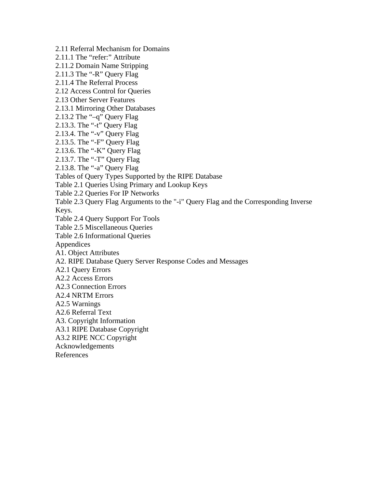[2.11 Referral Mechanism for Domains](#page-21-0) [2.11.1 The "refer:" Attribute](#page-21-0) [2.11.2 Domain Name Stripping](#page-21-0) [2.11.3 The "-R" Query Flag](#page-21-0) [2.11.4 The Referral Process](#page-21-0) [2.12 Access Control for Queries](#page-23-0) [2.13 Other Server Features](#page-24-0) [2.13.1 Mirroring Other Databases](#page-24-0) [2.13.2 The "–q" Query Flag](#page-24-0) [2.13.3. The "-t" Query Flag](#page-25-0) [2.13.4. The "-v" Query Flag](#page-25-0) [2.13.5. The "-F" Query Flag](#page-25-0) [2.13.6. The "-K" Query Flag](#page-25-0) [2.13.7. The "-T" Query Flag](#page-26-0) [2.13.8. The "-a" Query Flag](#page-26-0) [Tables of Query Types Supported by the RIPE Database](#page-26-0) [Table 2.1 Queries Using Primary and Lookup Keys](#page-26-0) [Table 2.2 Queries For IP Networks](#page-27-0) [Table 2.3 Query Flag Arguments to the "-i" Query Flag and the Corresponding Inverse](#page-28-0)  [Keys.](#page-28-0) [Table 2.4 Query Support For Tools](#page-29-0) [Table 2.5 Miscellaneous Queries](#page-30-0)  [Table 2.6 Informational Queries](#page-30-0) [Appendices](#page-31-0) [A1. Object Attributes](#page-31-0) [A2. RIPE Database Query Server Response Codes and Messages](#page-41-0) [A2.1 Query Errors](#page-41-0) [A2.2 Access Errors](#page-42-0) [A2.3 Connection Errors](#page-43-0) [A2.4 NRTM Errors](#page-43-0) [A2.5 Warnings](#page-43-0) [A2.6 Referral Text](#page-44-0) [A3. Copyright Information](#page-44-0) [A3.1 RIPE Database Copyright](#page-44-0) [A3.2 RIPE NCC Copyright](#page-44-0) [Acknowledgements](#page-45-0) [References](#page-45-0)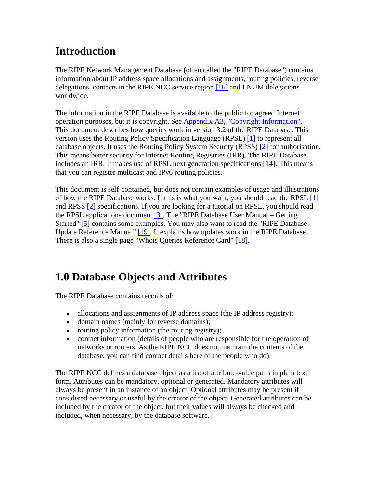## <span id="page-3-0"></span>**Introduction**

The RIPE Network Management Database (often called the "RIPE Database") contains information about IP address space allocations and assignments, routing policies, reverse delegations, contacts in the RIPE NCC service region [\[16\]](#page-46-0) and ENUM delegations worldwide.

The information in the RIPE Database is available to the public for agreed Internet operation purposes, but it is copyright. See [Appendix A3, "Copyright Information"](#page-44-0). This document describes how queries work in version 3.2 of the RIPE Database. Thi s version uses the Routing Policy Specification Language (RPSL) [\[1\]](#page-45-0) to represent all database objects. It uses the Routing Policy System Security (RPSS) [\[2\]](#page-45-0) for authorisation. This means better security for Internet Routing Registries (IRR). The RIPE Database includes an IRR. It makes use of RPSL next generation specifications [\[14\]](#page-46-0). This means that you can register multicast and IPv6 routing policies.

This document is self-contained, but does not contain examples of usage and illustrations of how the RIPE Database works. If this is what you want, you should read the RPSL [\[1\]](#page-45-0) and RPSS [\[2\]](#page-45-0) specifications. If you are looking for a tutorial on RPSL, you should read the RPSL applications document  $[3]$ . The "RIPE Database User Manual – Getting Started" [\[5\]](#page-45-0) contains some examples. You may also want to read the "RIPE Database Update Reference Manual" [\[19\].](#page-46-0) It explains how updates work in the RIPE Database. There is also a single page "Whois Queries Reference Card" [\[18\]](#page-46-0).

## **1.0 Database Objects and Attributes**

The RIPE Database contains records of:

- allocations and assignments of IP address space (the IP address registry);
- domain names (mainly for reverse domains);
- routing policy information (the routing registry);
- contact information (details of people who are responsible for the operation of networks or routers. As the RIPE NCC does not maintain the contents of the database, you can find contact details here of the people who do).

The RIPE NCC defines a database object as a list of attribute-value pairs in plain text considered necessary or useful by the creator of the object. Generated attributes can be form. Attributes can be mandatory, optional or generated. Mandatory attributes will always be present in an instance of an object. Optional attributes may be present if included by the creator of the object, but their values will always be checked and included, when necessary, by the database software.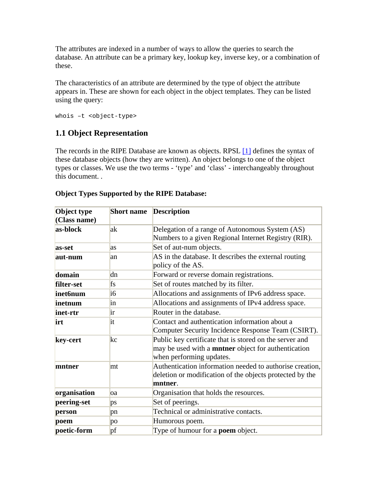<span id="page-4-0"></span>The attributes are indexed in a number of ways to allow the queries to search the database. An attribute can be a primary key, lookup key, inverse key, or a combination of these.

The characteristics of an attribute are determined by the type of object the attribute appears in. These are shown for each object in the object templates. They can be listed using the query:

whois –t <object-type>

## **1.1 Object Representation**

The records in the RIPE Database are known as objects. RPSL [\[1\]](#page-45-0) defines the syntax of these database objects (how they are written). An object belongs to one of the object types or classes. We use the two terms - 'type' and 'class' - interchangeably throughout this document. .

| Object type<br>(Class name) | <b>Short name</b> | <b>Description</b>                                                                                                                                |
|-----------------------------|-------------------|---------------------------------------------------------------------------------------------------------------------------------------------------|
| as-block                    | ak                | Delegation of a range of Autonomous System (AS)<br>Numbers to a given Regional Internet Registry (RIR).                                           |
| as-set                      | las               | Set of aut-num objects.                                                                                                                           |
| aut-num                     | lan               | AS in the database. It describes the external routing<br>policy of the AS.                                                                        |
| domain                      | dn                | Forward or reverse domain registrations.                                                                                                          |
| filter-set                  | fs                | Set of routes matched by its filter.                                                                                                              |
| inet6num                    | $\overline{16}$   | Allocations and assignments of IPv6 address space.                                                                                                |
| inetnum                     | in                | Allocations and assignments of IPv4 address space.                                                                                                |
| inet-rtr                    | ir                | Router in the database.                                                                                                                           |
| irt                         | it                | Contact and authentication information about a<br>Computer Security Incidence Response Team (CSIRT).                                              |
| key-cert                    | kc                | Public key certificate that is stored on the server and<br>may be used with a <b>mntner</b> object for authentication<br>when performing updates. |
| mntner                      | mt                | Authentication information needed to authorise creation,<br>deletion or modification of the objects protected by the<br>mntner.                   |
| organisation                | loa               | Organisation that holds the resources.                                                                                                            |
| peering-set                 | ps                | Set of peerings.                                                                                                                                  |
| person                      | pn                | Technical or administrative contacts.                                                                                                             |
| poem                        | po                | Humorous poem.                                                                                                                                    |
| poetic-form                 | pf                | Type of humour for a <b>poem</b> object.                                                                                                          |

#### **Object Types Supported by the RIPE Database:**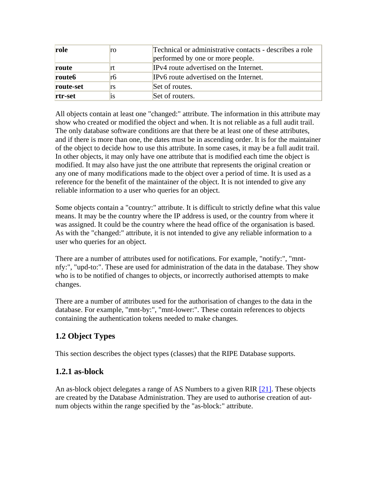<span id="page-5-0"></span>

| role               | ro | Technical or administrative contacts - describes a role<br>performed by one or more people. |
|--------------------|----|---------------------------------------------------------------------------------------------|
| route              | rt | IPv4 route advertised on the Internet.                                                      |
| route <sub>6</sub> | rb | IPv6 route advertised on the Internet.                                                      |
| route-set          | rs | Set of routes.                                                                              |
| rtr-set            | 1S | Set of routers.                                                                             |

All objects contain at least one "changed:" attribute. The information in this attribute may show who created or modified the object and when. It is not reliable as a full audit trail. The only database software conditions are that there be at least one of these attributes, and if there is more than one, the dates must be in ascending order. It is for the maintainer of the object to decide how to use this attribute. In some cases, it may be a full audit trail. In other objects, it may only have one attribute that is modified each time the object is modified. It may also have just the one attribute that represents the original creation or any one of many modifications made to the object over a period of time. It is used as a reference for the benefit of the maintainer of the object. It is not intended to give any reliable information to a user who queries for an object.

Some objects contain a "country:" attribute. It is difficult to strictly define what this value means. It may be the country where the IP address is used, or the country from where it was assigned. It could be the country where the head office of the organisation is based. As with the "changed:" attribute, it is not intended to give any reliable information to a user who queries for an object.

There are a number of attributes used for notifications. For example, "notify:", "mntnfy:", "upd-to:". These are used for administration of the data in the database. They show who is to be notified of changes to objects, or incorrectly authorised attempts to make changes.

There are a number of attributes used for the authorisation of changes to the data in the database. For example, "mnt-by:", "mnt-lower:". These contain references to objects containing the authentication tokens needed to make changes.

## **1.2 Object Types**

This section describes the object types (classes) that the RIPE Database supports.

## **1.2.1 as-block**

An as-block object delegates a range of AS Numbers to a given RIR [\[21\].](#page-46-0) These objects are created by the Database Administration. They are used to authorise creation of autnum objects within the range specified by the "as-block:" attribute.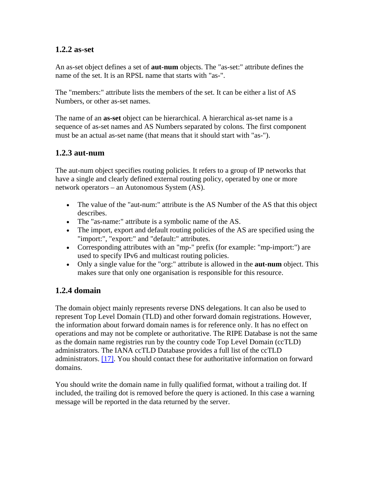### <span id="page-6-0"></span>**1.2.2 as-set**

An as-set object defines a set of **aut-num** objects. The "as-set:" attribute defines the name of the set. It is an RPSL name that starts with "as-".

The "members:" attribute lists the members of the set. It can be either a list of AS Numbers, or other as-set names.

The name of an **as-set** object can be hierarchical. A hierarchical as-set name is a sequence of as-set names and AS Numbers separated by colons. The first component must be an actual as-set name (that means that it should start with "as-").

## **1.2.3 aut-num**

The aut-num object specifies routing policies. It refers to a group of IP networks that have a single and clearly defined external routing policy, operated by one or more network operators – an Autonomous System (AS).

- The value of the "aut-num:" attribute is the AS Number of the AS that this object describes.
- The "as-name:" attribute is a symbolic name of the AS.
- The import, export and default routing policies of the AS are specified using the "import:", "export:" and "default:" attributes.
- Corresponding attributes with an "mp-" prefix (for example: "mp-import:") are used to specify IPv6 and multicast routing policies.
- Only a single value for the "org:" attribute is allowed in the **aut-num** object. This makes sure that only one organisation is responsible for this resource.

## **1.2.4 domain**

The domain object mainly represents reverse DNS delegations. It can also be used to represent Top Level Domain (TLD) and other forward domain registrations. However, the information about forward domain names is for reference only. It has no effect on operations and may not be complete or authoritative. The RIPE Database is not the same as the domain name registries run by the country code Top Level Domain (ccTLD) administrators. The IANA ccTLD Database provides a full list of the ccTLD administrators. [\[17\].](#page-46-0) You should contact these for authoritative information on forward domains.

You should write the domain name in fully qualified format, without a trailing dot. If included, the trailing dot is removed before the query is actioned. In this case a warning message will be reported in the data returned by the server.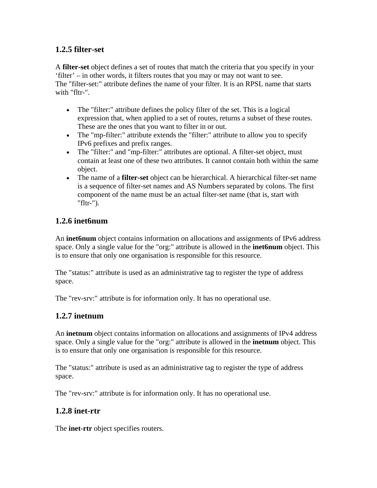## <span id="page-7-0"></span>**1.2.5 filter-set**

A **filter-set** object defines a set of routes that match the criteria that you specify in your 'filter' – in other words, it filters routes that you may or may not want to see. The "filter-set:" attribute defines the name of your filter. It is an RPSL name that starts with "fltr-".

- The "filter:" attribute defines the policy filter of the set. This is a logical expression that, when applied to a set of routes, returns a subset of these routes. These are the ones that you want to filter in or out.
- The "mp-filter:" attribute extends the "filter:" attribute to allow you to specify IPv6 prefixes and prefix ranges.
- The "filter:" and "mp-filter:" attributes are optional. A filter-set object, must contain at least one of these two attributes. It cannot contain both within the same object.
- The name of a **filter-set** object can be hierarchical. A hierarchical filter-set name is a sequence of filter-set names and AS Numbers separated by colons. The first component of the name must be an actual filter-set name (that is, start with "fltr-").

## **1.2.6 inet6num**

An **inet6num** object contains information on allocations and assignments of IPv6 address space. Only a single value for the "org:" attribute is allowed in the **inet6num** object. This is to ensure that only one organisation is responsible for this resource.

The "status:" attribute is used as an administrative tag to register the type of address space.

The "rev-srv:" attribute is for information only. It has no operational use.

## **1.2.7 inetnum**

An **inetnum** object contains information on allocations and assignments of IPv4 address space. Only a single value for the "org:" attribute is allowed in the **inetnum** object. This is to ensure that only one organisation is responsible for this resource.

The "status:" attribute is used as an administrative tag to register the type of address space.

The "rev-srv:" attribute is for information only. It has no operational use.

## **1.2.8 inet-rtr**

The **inet-rtr** object specifies routers.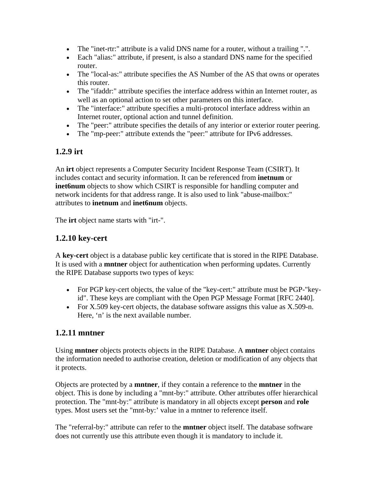- <span id="page-8-0"></span>• The "inet-rtr:" attribute is a valid DNS name for a router, without a trailing ".".
- Each "alias:" attribute, if present, is also a standard DNS name for the specified router.
- The "local-as:" attribute specifies the AS Number of the AS that owns or operates this router.
- The "ifaddr:" attribute specifies the interface address within an Internet router, as well as an optional action to set other parameters on this interface.
- The "interface:" attribute specifies a multi-protocol interface address within an Internet router, optional action and tunnel definition.
- The "peer:" attribute specifies the details of any interior or exterior router peering.
- The "mp-peer:" attribute extends the "peer:" attribute for IPv6 addresses.

## **1.2.9 irt**

An **irt** object represents a Computer Security Incident Response Team (CSIRT). It includes contact and security information. It can be referenced from **inetnum** or **inet6num** objects to show which CSIRT is responsible for handling computer and network incidents for that address range. It is also used to link "abuse-mailbox:" attributes to **inetnum** and **inet6num** objects.

The **irt** object name starts with "irt-".

## **1.2.10 key-cert**

A **key-cert** object is a database public key certificate that is stored in the RIPE Database. It is used with a **mntner** object for authentication when performing updates. Currently the RIPE Database supports two types of keys:

- For PGP key-cert objects, the value of the "key-cert:" attribute must be PGP-"keyid". These keys are compliant with the Open PGP Message Format [RFC 2440].
- For X.509 key-cert objects, the database software assigns this value as X.509-n. Here, 'n' is the next available number.

### **1.2.11 mntner**

Using **mntner** objects protects objects in the RIPE Database. A **mntner** object contains the information needed to authorise creation, deletion or modification of any objects that it protects.

Objects are protected by a **mntner**, if they contain a reference to the **mntner** in the object. This is done by including a "mnt-by:" attribute. Other attributes offer hierarchical protection. The "mnt-by:" attribute is mandatory in all objects except **person** and **role** types. Most users set the "mnt-by:' value in a mntner to reference itself.

The "referral-by:" attribute can refer to the **mntner** object itself. The database software does not currently use this attribute even though it is mandatory to include it.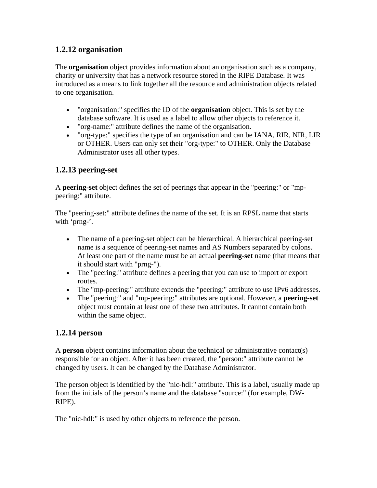## <span id="page-9-0"></span>**1.2.12 organisation**

The **organisation** object provides information about an organisation such as a company, charity or university that has a network resource stored in the RIPE Database. It was introduced as a means to link together all the resource and administration objects related to one organisation.

- "organisation:" specifies the ID of the **organisation** object. This is set by the database software. It is used as a label to allow other objects to reference it.
- "org-name:" attribute defines the name of the organisation.
- "org-type:" specifies the type of an organisation and can be IANA, RIR, NIR, LIR or OTHER. Users can only set their "org-type:" to OTHER. Only the Database Administrator uses all other types.

## **1.2.13 peering-set**

A **peering-set** object defines the set of peerings that appear in the "peering:" or "mppeering:" attribute.

The "peering-set:" attribute defines the name of the set. It is an RPSL name that starts with 'prng-'.

- The name of a peering-set object can be hierarchical. A hierarchical peering-set name is a sequence of peering-set names and AS Numbers separated by colons. At least one part of the name must be an actual **peering-set** name (that means that it should start with "prng-").
- The "peering:" attribute defines a peering that you can use to import or export routes.
- The "mp-peering:" attribute extends the "peering:" attribute to use IPv6 addresses.
- The "peering:" and "mp-peering:" attributes are optional. However, a **peering-set** object must contain at least one of these two attributes. It cannot contain both within the same object.

## **1.2.14 person**

A **person** object contains information about the technical or administrative contact(s) responsible for an object. After it has been created, the "person:" attribute cannot be changed by users. It can be changed by the Database Administrator.

The person object is identified by the "nic-hdl:" attribute. This is a label, usually made up from the initials of the person's name and the database "source:" (for example, DW-RIPE).

The "nic-hdl:" is used by other objects to reference the person.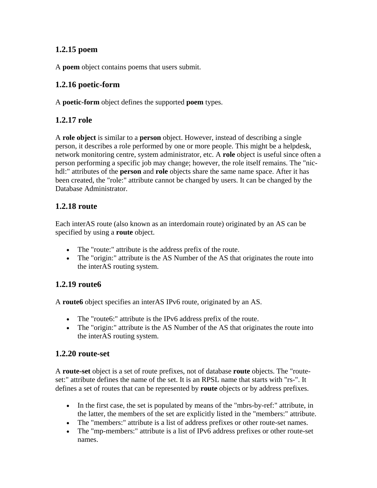## <span id="page-10-0"></span>**1.2.15 poem**

A **poem** object contains poems that users submit.

## **1.2.16 poetic-form**

A **poetic-form** object defines the supported **poem** types.

### **1.2.17 role**

A **role object** is similar to a **person** object. However, instead of describing a single person, it describes a role performed by one or more people. This might be a helpdesk, network monitoring centre, system administrator, etc. A **role** object is useful since often a person performing a specific job may change; however, the role itself remains. The "nichdl:" attributes of the **person** and **role** objects share the same name space. After it has been created, the "role:" attribute cannot be changed by users. It can be changed by the Database Administrator.

## **1.2.18 route**

Each interAS route (also known as an interdomain route) originated by an AS can be specified by using a **route** object.

- The "route:" attribute is the address prefix of the route.
- The "origin:" attribute is the AS Number of the AS that originates the route into the interAS routing system.

## **1.2.19 route6**

A **route6** object specifies an interAS IPv6 route, originated by an AS.

- The "route6:" attribute is the IPv6 address prefix of the route.
- The "origin:" attribute is the AS Number of the AS that originates the route into the interAS routing system.

## **1.2.20 route-set**

A **route-set** object is a set of route prefixes, not of database **route** objects. The "routeset:" attribute defines the name of the set. It is an RPSL name that starts with "rs-". It defines a set of routes that can be represented by **route** objects or by address prefixes.

- In the first case, the set is populated by means of the "mbrs-by-ref:" attribute, in the latter, the members of the set are explicitly listed in the "members:" attribute.
- The "members:" attribute is a list of address prefixes or other route-set names.
- The "mp-members:" attribute is a list of IPv6 address prefixes or other route-set names.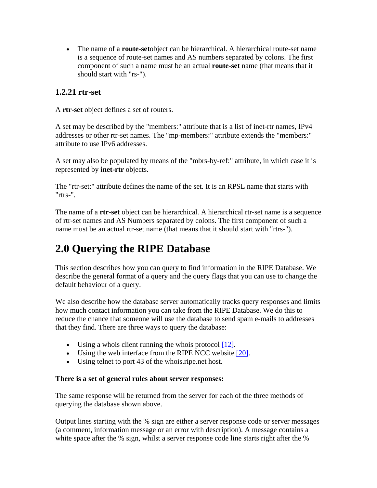<span id="page-11-0"></span>• The name of a **route-set**object can be hierarchical. A hierarchical route-set name is a sequence of route-set names and AS numbers separated by colons. The first component of such a name must be an actual **route-set** name (that means that it should start with "rs-").

### **1.2.21 rtr-set**

A **rtr-set** object defines a set of routers.

A set may be described by the "members:" attribute that is a list of inet-rtr names, IPv4 addresses or other rtr-set names. The "mp-members:" attribute extends the "members:" attribute to use IPv6 addresses.

A set may also be populated by means of the "mbrs-by-ref:" attribute, in which case it is represented by **inet-rtr** objects.

The "rtr-set:" attribute defines the name of the set. It is an RPSL name that starts with "rtrs-".

The name of a **rtr-set** object can be hierarchical. A hierarchical rtr-set name is a sequence of rtr-set names and AS Numbers separated by colons. The first component of such a name must be an actual rtr-set name (that means that it should start with "rtrs-").

## **2.0 Querying the RIPE Database**

This section describes how you can query to find information in the RIPE Database. We describe the general format of a query and the query flags that you can use to change the default behaviour of a query.

We also describe how the database server automatically tracks query responses and limits how much contact information you can take from the RIPE Database. We do this to reduce the chance that someone will use the database to send spam e-mails to addresses that they find. There are three ways to query the database:

- Using a whois client running the whois protocol [\[12\].](#page-45-0)
- Using the web interface from the RIPE NCC website  $[20]$ .
- Using telnet to port 43 of the whois.ripe.net host.

#### **There is a set of general rules about server responses:**

The same response will be returned from the server for each of the three methods of querying the database shown above.

Output lines starting with the % sign are either a server response code or server messages (a comment, information message or an error with description). A message contains a white space after the % sign, whilst a server response code line starts right after the %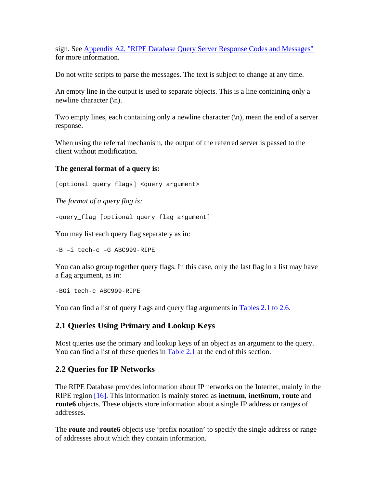<span id="page-12-0"></span>sign. See [Appendix A2, "RIPE Database Query Server Response Codes and Messages"](#page-41-0) for more information.

Do not write scripts to parse the messages. The text is subject to change at any time.

An empty line in the output is used to separate objects. This is a line containing only a newline character  $(\n\ln)$ .

Two empty lines, each containing only a newline character  $(\n\cdot n)$ , mean the end of a server response.

When using the referral mechanism, the output of the referred server is passed to the client without modification.

#### **The general format of a query is:**

[optional query flags] <query argument>

*The format of a query flag is:*

-query\_flag [optional query flag argument]

You may list each query flag separately as in:

-B –i tech-c –G ABC999-RIPE

You can also group together query flags. In this case, only the last flag in a list may have a flag argument, as in:

-BGi tech-c ABC999-RIPE

You can find a list of query flags and query flag arguments in [Tables 2.1 to 2.6](#page-26-0).

### **2.1 Queries Using Primary and Lookup Keys**

Most queries use the primary and lookup keys of an object as an argument to the query. You can find a list of these queries in [Table 2.1](#page-26-0) at the end of this section.

### **2.2 Queries for IP Networks**

The RIPE Database provides information about IP networks on the Internet, mainly in the RIPE region [\[16\].](#page-46-0) This information is mainly stored as **inetnum**, **inet6num**, **route** and **route6** objects. These objects store information about a single IP address or ranges of addresses.

The **route** and **route6** objects use 'prefix notation' to specify the single address or range of addresses about which they contain information.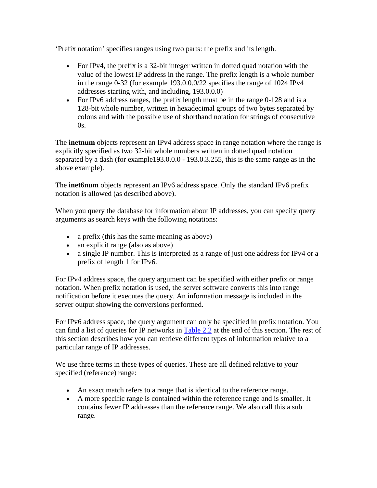'Prefix notation' specifies ranges using two parts: the prefix and its length.

- For IPv4, the prefix is a 32-bit integer written in dotted quad notation with the value of the lowest IP address in the range. The prefix length is a whole number in the range 0-32 (for example 193.0.0.0/22 specifies the range of 1024 IPv4 addresses starting with, and including, 193.0.0.0)
- For IPv6 address ranges, the prefix length must be in the range 0-128 and is a 128-bit whole number, written in hexadecimal groups of two bytes separated by colons and with the possible use of shorthand notation for strings of consecutive  $0s$ .

The **inetnum** objects represent an IPv4 address space in range notation where the range is explicitly specified as two 32-bit whole numbers written in dotted quad notation separated by a dash (for example193.0.0.0 - 193.0.3.255, this is the same range as in the above example).

The **inet6num** objects represent an IPv6 address space. Only the standard IPv6 prefix notation is allowed (as described above).

When you query the database for information about IP addresses, you can specify query arguments as search keys with the following notations:

- a prefix (this has the same meaning as above)
- an explicit range (also as above)
- a single IP number. This is interpreted as a range of just one address for IPv4 or a prefix of length 1 for IPv6.

For IPv4 address space, the query argument can be specified with either prefix or range notation. When prefix notation is used, the server software converts this into range notification before it executes the query. An information message is included in the server output showing the conversions performed.

For IPv6 address space, the query argument can only be specified in prefix notation. You can find a list of queries for IP networks in [Table 2.2](#page-27-0) at the end of this section. The rest of this section describes how you can retrieve different types of information relative to a particular range of IP addresses.

We use three terms in these types of queries. These are all defined relative to your specified (reference) range:

- An exact match refers to a range that is identical to the reference range.
- A more specific range is contained within the reference range and is smaller. It contains fewer IP addresses than the reference range. We also call this a sub range.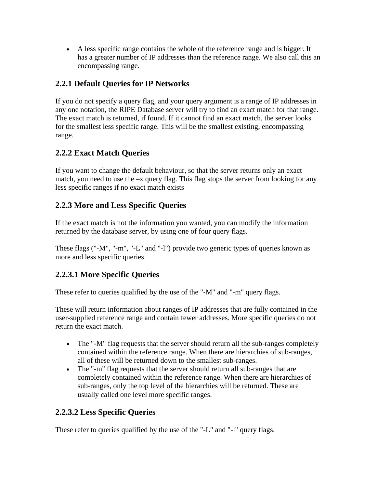<span id="page-14-0"></span>• A less specific range contains the whole of the reference range and is bigger. It has a greater number of IP addresses than the reference range. We also call this an encompassing range.

## **2.2.1 Default Queries for IP Networks**

If you do not specify a query flag, and your query argument is a range of IP addresses in any one notation, the RIPE Database server will try to find an exact match for that range. The exact match is returned, if found. If it cannot find an exact match, the server looks for the smallest less specific range. This will be the smallest existing, encompassing range.

## **2.2.2 Exact Match Queries**

If you want to change the default behaviour, so that the server returns only an exact match, you need to use the –x query flag. This flag stops the server from looking for any less specific ranges if no exact match exists

## **2.2.3 More and Less Specific Queries**

If the exact match is not the information you wanted, you can modify the information returned by the database server, by using one of four query flags.

These flags ("-M", "-m", "-L" and "-l") provide two generic types of queries known as more and less specific queries.

## **2.2.3.1 More Specific Queries**

These refer to queries qualified by the use of the "-M" and "-m" query flags.

These will return information about ranges of IP addresses that are fully contained in the user-supplied reference range and contain fewer addresses. More specific queries do not return the exact match.

- The "-M" flag requests that the server should return all the sub-ranges completely contained within the reference range. When there are hierarchies of sub-ranges, all of these will be returned down to the smallest sub-ranges.
- The "-m" flag requests that the server should return all sub-ranges that are completely contained within the reference range. When there are hierarchies of sub-ranges, only the top level of the hierarchies will be returned. These are usually called one level more specific ranges.

## **2.2.3.2 Less Specific Queries**

These refer to queries qualified by the use of the "-L" and "-l" query flags.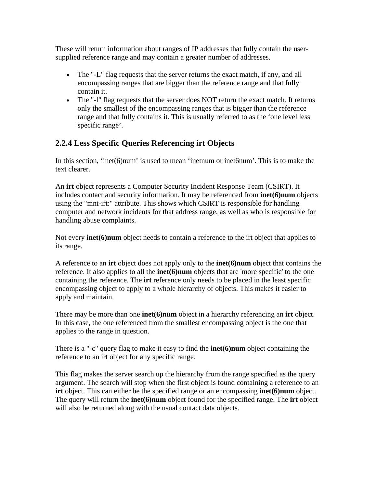<span id="page-15-0"></span>These will return information about ranges of IP addresses that fully contain the usersupplied reference range and may contain a greater number of addresses.

- The "-L" flag requests that the server returns the exact match, if any, and all encompassing ranges that are bigger than the reference range and that fully contain it.
- The "-1" flag requests that the server does NOT return the exact match. It returns only the smallest of the encompassing ranges that is bigger than the reference range and that fully contains it. This is usually referred to as the 'one level less specific range'.

## **2.2.4 Less Specific Queries Referencing irt Objects**

In this section, 'inet(6)num' is used to mean 'inetnum or inet6num'. This is to make the text clearer.

An **irt** object represents a Computer Security Incident Response Team (CSIRT). It includes contact and security information. It may be referenced from **inet(6)num** objects using the "mnt-irt:" attribute. This shows which CSIRT is responsible for handling computer and network incidents for that address range, as well as who is responsible for handling abuse complaints.

Not every **inet(6)num** object needs to contain a reference to the irt object that applies to its range.

A reference to an **irt** object does not apply only to the **inet(6)num** object that contains the reference. It also applies to all the **inet(6)num** objects that are 'more specific' to the one containing the reference. The **irt** reference only needs to be placed in the least specific encompassing object to apply to a whole hierarchy of objects. This makes it easier to apply and maintain.

There may be more than one **inet(6)num** object in a hierarchy referencing an **irt** object. In this case, the one referenced from the smallest encompassing object is the one that applies to the range in question.

There is a "-c" query flag to make it easy to find the **inet(6)num** object containing the reference to an irt object for any specific range.

This flag makes the server search up the hierarchy from the range specified as the query argument. The search will stop when the first object is found containing a reference to an **irt** object. This can either be the specified range or an encompassing **inet(6)num** object. The query will return the **inet(6)num** object found for the specified range. The **irt** object will also be returned along with the usual contact data objects.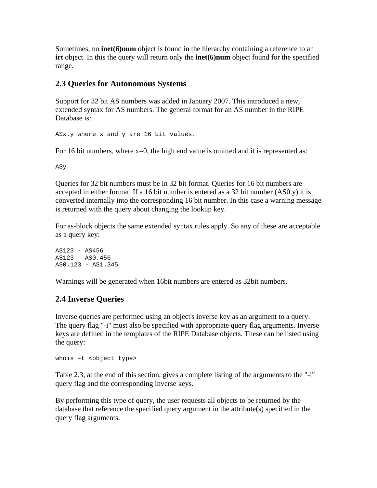<span id="page-16-0"></span>Sometimes, no **inet(6)num** object is found in the hierarchy containing a reference to an **irt** object. In this the query will return only the **inet(6)num** object found for the specified range.

### **2.3 Queries for Autonomous Systems**

Support for 32 bit AS numbers was added in January 2007. This introduced a new, extended syntax for AS numbers. The general format for an AS number in the RIPE Database is:

ASx.y where x and y are 16 bit values.

For 16 bit numbers, where  $x=0$ , the high end value is omitted and it is represented as:

ASy

Queries for 32 bit numbers must be in 32 bit format. Queries for 16 bit numbers are accepted in either format. If a 16 bit number is entered as a 32 bit number (AS0.y) it is converted internally into the corresponding 16 bit number. In this case a warning message is returned with the query about changing the lookup key.

For as-block objects the same extended syntax rules apply. So any of these are acceptable as a query key:

AS123 - AS456 AS123 - AS0.456 AS0.123 - AS1.345

Warnings will be generated when 16bit numbers are entered as 32bit numbers.

### **2.4 Inverse Queries**

Inverse queries are performed using an object's inverse key as an argument to a query. The query flag "-i" must also be specified with appropriate query flag arguments. Inverse keys are defined in the templates of the RIPE Database objects. These can be listed using the query:

whois –t <object type>

Table 2.3, at the end of this section, gives a complete listing of the arguments to the "-i" query flag and the corresponding inverse keys.

By performing this type of query, the user requests all objects to be returned by the database that reference the specified query argument in the attribute(s) specified in the query flag arguments.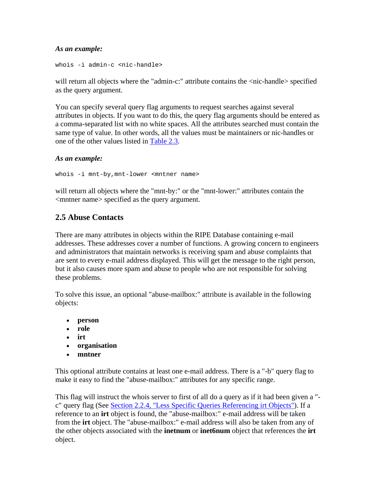#### <span id="page-17-0"></span>*As an example:*

whois -i admin-c <nic-handle>

will return all objects where the "admin-c:" attribute contains the <nic-handle> specified as the query argument.

You can specify several query flag arguments to request searches against several attributes in objects. If you want to do this, the query flag arguments should be entered as a comma-separated list with no white spaces. All the attributes searched must contain the same type of value. In other words, all the values must be maintainers or nic-handles or one of the other values listed in [Table 2.3.](#page-28-0)

#### *As an example:*

whois -i mnt-by, mnt-lower <mntner name>

will return all objects where the "mnt-by:" or the "mnt-lower:" attributes contain the <mntner name> specified as the query argument.

## **2.5 Abuse Contacts**

There are many attributes in objects within the RIPE Database containing e-mail addresses. These addresses cover a number of functions. A growing concern to engineers and administrators that maintain networks is receiving spam and abuse complaints that are sent to every e-mail address displayed. This will get the message to the right person, but it also causes more spam and abuse to people who are not responsible for solving these problems.

To solve this issue, an optional "abuse-mailbox:" attribute is available in the following objects:

- **person**
- **role**
- **irt**
- **organisation**
- **mntner**

This optional attribute contains at least one e-mail address. There is a "-b" query flag to make it easy to find the "abuse-mailbox:" attributes for any specific range.

This flag will instruct the whois server to first of all do a query as if it had been given a " c" query flag (See [Section 2.2.4, "Less Specific Queries Referencing irt Objects"\)](#page-15-0). If a reference to an **irt** object is found, the "abuse-mailbox:" e-mail address will be taken from the **irt** object. The "abuse-mailbox:" e-mail address will also be taken from any of the other objects associated with the **inetnum** or **inet6num** object that references the **irt** object.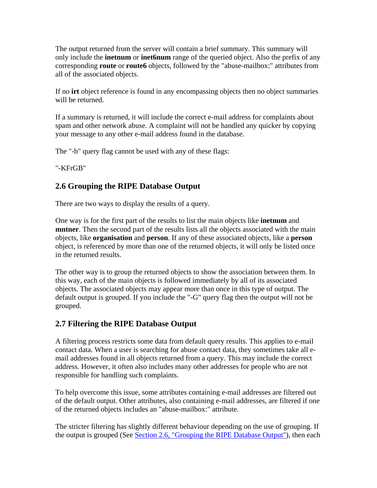<span id="page-18-0"></span>The output returned from the server will contain a brief summary. This summary will only include the **inetnum** or **inet6num** range of the queried object. Also the prefix of any corresponding **route** or **route6** objects, followed by the "abuse-mailbox:" attributes from all of the associated objects.

If no **irt** object reference is found in any encompassing objects then no object summaries will be returned.

If a summary is returned, it will include the correct e-mail address for complaints about spam and other network abuse. A complaint will not be handled any quicker by copying your message to any other e-mail address found in the database.

The "-b" query flag cannot be used with any of these flags:

"-KFrGB"

## **2.6 Grouping the RIPE Database Output**

There are two ways to display the results of a query.

One way is for the first part of the results to list the main objects like **inetnum** and **mntner**. Then the second part of the results lists all the objects associated with the main objects, like **organisation** and **person**. If any of these associated objects, like a **person** object, is referenced by more than one of the returned objects, it will only be listed once in the returned results.

The other way is to group the returned objects to show the association between them. In this way, each of the main objects is followed immediately by all of its associated objects. The associated objects may appear more than once in this type of output. The default output is grouped. If you include the "-G" query flag then the output will not be grouped.

### **2.7 Filtering the RIPE Database Output**

A filtering process restricts some data from default query results. This applies to e-mail contact data. When a user is searching for abuse contact data, they sometimes take all email addresses found in all objects returned from a query. This may include the correct address. However, it often also includes many other addresses for people who are not responsible for handling such complaints.

To help overcome this issue, some attributes containing e-mail addresses are filtered out of the default output. Other attributes, also containing e-mail addresses, are filtered if one of the returned objects includes an "abuse-mailbox:" attribute.

The stricter filtering has slightly different behaviour depending on the use of grouping. If the output is grouped (See [Section 2.6, "Grouping the RIPE Database Output"\)](#page-18-0), then each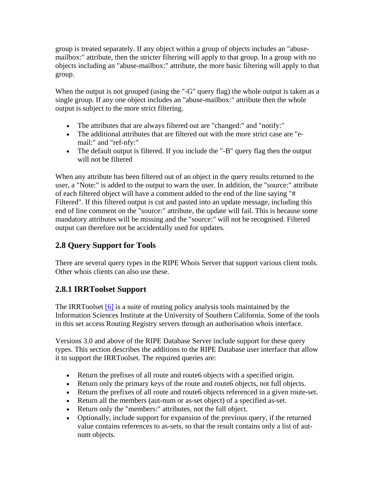<span id="page-19-0"></span>group is treated separately. If any object within a group of objects includes an "abusemailbox:" attribute, then the stricter filtering will apply to that group. In a group with no objects including an "abuse-mailbox:" attribute, the more basic filtering will apply to that group.

When the output is not grouped (using the "-G" query flag) the whole output is taken as a single group. If any one object includes an "abuse-mailbox:" attribute then the whole output is subject to the more strict filtering.

- The attributes that are always filtered out are "changed:" and "notify:"
- The additional attributes that are filtered out with the more strict case are "email:" and "ref-nfy:"
- The default output is filtered. If you include the "-B" query flag then the output will not be filtered

When any attribute has been filtered out of an object in the query results returned to the user, a "Note:" is added to the output to warn the user. In addition, the "source:" attribute of each filtered object will have a comment added to the end of the line saying "# Filtered". If this filtered output is cut and pasted into an update message, including this end of line comment on the "source:" attribute, the update will fail. This is because some mandatory attributes will be missing and the "source:" will not be recognised. Filtered output can therefore not be accidentally used for updates.

## **2.8 Query Support for Tools**

There are several query types in the RIPE Whois Server that support various client tools. Other whois clients can also use these.

## **2.8.1 IRRToolset Support**

The IRRToolset [\[6\]](#page-45-0) is a suite of routing policy analysis tools maintained by the Information Sciences Institute at the University of Southern California. Some of the tools in this set access Routing Registry servers through an authorisation whois interface.

Versions 3.0 and above of the RIPE Database Server include support for these query types. This section describes the additions to the RIPE Database user interface that allow it to support the IRRToolset. The required queries are:

- Return the prefixes of all route and route 6 objects with a specified origin.
- Return only the primary keys of the route and route objects, not full objects.
- Return the prefixes of all route and route6 objects referenced in a given route-set.
- Return all the members (aut-num or as-set object) of a specified as-set.
- Return only the "members:" attributes, not the full object.
- Optionally, include support for expansion of the previous query, if the returned value contains references to as-sets, so that the result contains only a list of autnum objects.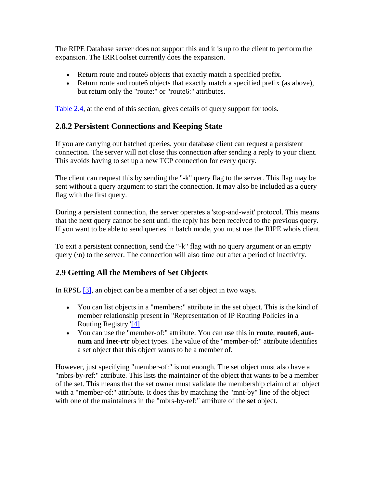<span id="page-20-0"></span>The RIPE Database server does not support this and it is up to the client to perform the expansion. The IRRToolset currently does the expansion.

- Return route and route6 objects that exactly match a specified prefix.
- Return route and route 6 objects that exactly match a specified prefix (as above), but return only the "route:" or "route6:" attributes.

[Table 2.4](#page-29-0), at the end of this section, gives details of query support for tools.

## **2.8.2 Persistent Connections and Keeping State**

If you are carrying out batched queries, your database client can request a persistent connection. The server will not close this connection after sending a reply to your client. This avoids having to set up a new TCP connection for every query.

The client can request this by sending the "-k" query flag to the server. This flag may be sent without a query argument to start the connection. It may also be included as a query flag with the first query.

During a persistent connection, the server operates a 'stop-and-wait' protocol. This means that the next query cannot be sent until the reply has been received to the previous query. If you want to be able to send queries in batch mode, you must use the RIPE whois client.

To exit a persistent connection, send the "-k" flag with no query argument or an empty query  $(\n)$  to the server. The connection will also time out after a period of inactivity.

## **2.9 Getting All the Members of Set Objects**

In RPSL [\[3\],](#page-45-0) an object can be a member of a set object in two ways.

- You can list objects in a "members:" attribute in the set object. This is the kind of member relationship present in "Representation of IP Routing Policies in a Routing Registry["\[4\]](#page-45-0)
- You can use the "member-of:" attribute. You can use this in **route**, **route6**, **autnum** and **inet-rtr** object types. The value of the "member-of:" attribute identifies a set object that this object wants to be a member of.

However, just specifying "member-of:" is not enough. The set object must also have a "mbrs-by-ref:" attribute. This lists the maintainer of the object that wants to be a member of the set. This means that the set owner must validate the membership claim of an object with a "member-of:" attribute. It does this by matching the "mnt-by" line of the object with one of the maintainers in the "mbrs-by-ref:" attribute of the **set** object.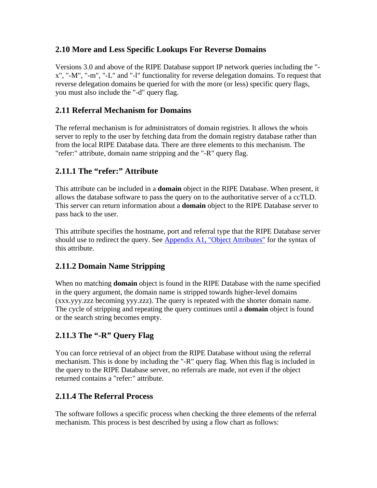## <span id="page-21-0"></span>**2.10 More and Less Specific Lookups For Reverse Domains**

Versions 3.0 and above of the RIPE Database support IP network queries including the " x", "-M", "-m", "-L" and "-l" functionality for reverse delegation domains. To request that reverse delegation domains be queried for with the more (or less) specific query flags, you must also include the "-d" query flag.

## **2.11 Referral Mechanism for Domains**

The referral mechanism is for administrators of domain registries. It allows the whois server to reply to the user by fetching data from the domain registry database rather than from the local RIPE Database data. There are three elements to this mechanism. The "refer:" attribute, domain name stripping and the "-R" query flag.

## **2.11.1 The "refer:" Attribute**

This attribute can be included in a **domain** object in the RIPE Database. When present, it allows the database software to pass the query on to the authoritative server of a ccTLD. This server can return information about a **domain** object to the RIPE Database server to pass back to the user.

This attribute specifies the hostname, port and referral type that the RIPE Database server should use to redirect the query. See [Appendix A1, "Object Attributes"](#page-31-0) for the syntax of this attribute.

## **2.11.2 Domain Name Stripping**

When no matching **domain** object is found in the RIPE Database with the name specified in the query argument, the domain name is stripped towards higher-level domains (xxx.yyy.zzz becoming yyy.zzz). The query is repeated with the shorter domain name. The cycle of stripping and repeating the query continues until a **domain** object is found or the search string becomes empty.

## **2.11.3 The "-R" Query Flag**

You can force retrieval of an object from the RIPE Database without using the referral mechanism. This is done by including the "-R" query flag. When this flag is included in the query to the RIPE Database server, no referrals are made, not even if the object returned contains a "refer:" attribute.

## **2.11.4 The Referral Process**

The software follows a specific process when checking the three elements of the referral mechanism. This process is best described by using a flow chart as follows: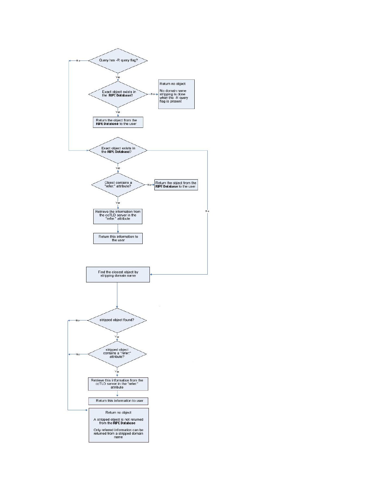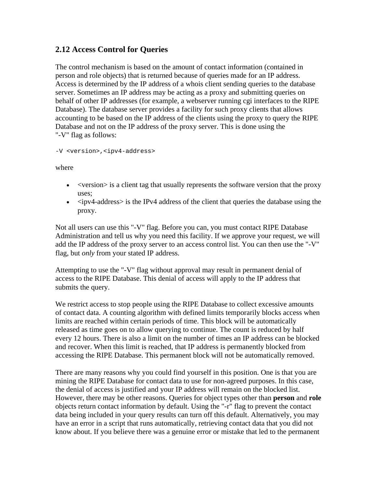### <span id="page-23-0"></span>**2.12 Access Control for Queries**

The control mechanism is based on the amount of contact information (contained in person and role objects) that is returned because of queries made for an IP address. Access is determined by the IP address of a whois client sending queries to the database server. Sometimes an IP address may be acting as a proxy and submitting queries on behalf of other IP addresses (for example, a webserver running cgi interfaces to the RIPE Database). The database server provides a facility for such proxy clients that allows accounting to be based on the IP address of the clients using the proxy to query the RIPE Database and not on the IP address of the proxy server. This is done using the "-V" flag as follows:

-V <version>,<ipv4-address>

where

- <version is a client tag that usually represents the software version that the proxy uses;
- $\langle$ ipv4-address> is the IPv4 address of the client that queries the database using the proxy.

Not all users can use this "-V" flag. Before you can, you must contact RIPE Database Administration and tell us why you need this facility. If we approve your request, we will add the IP address of the proxy server to an access control list. You can then use the "-V" flag, but *only* from your stated IP address.

Attempting to use the "-V" flag without approval may result in permanent denial of access to the RIPE Database. This denial of access will apply to the IP address that submits the query.

We restrict access to stop people using the RIPE Database to collect excessive amounts of contact data. A counting algorithm with defined limits temporarily blocks access when limits are reached within certain periods of time. This block will be automatically released as time goes on to allow querying to continue. The count is reduced by half every 12 hours. There is also a limit on the number of times an IP address can be blocked and recover. When this limit is reached, that IP address is permanently blocked from accessing the RIPE Database. This permanent block will not be automatically removed.

There are many reasons why you could find yourself in this position. One is that you are mining the RIPE Database for contact data to use for non-agreed purposes. In this case, the denial of access is justified and your IP address will remain on the blocked list. However, there may be other reasons. Queries for object types other than **person** and **role** objects return contact information by default. Using the "-r" flag to prevent the contact data being included in your query results can turn off this default. Alternatively, you may have an error in a script that runs automatically, retrieving contact data that you did not know about. If you believe there was a genuine error or mistake that led to the permanent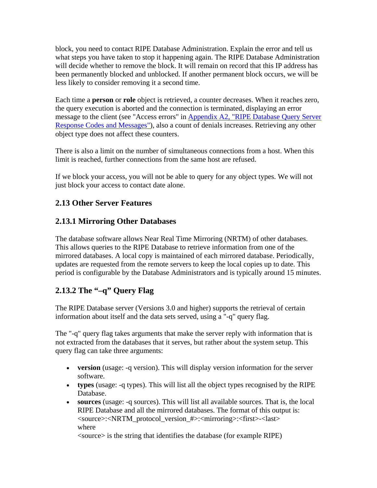<span id="page-24-0"></span>block, you need to contact RIPE Database Administration. Explain the error and tell us what steps you have taken to stop it happening again. The RIPE Database Administration will decide whether to remove the block. It will remain on record that this IP address has been permanently blocked and unblocked. If another permanent block occurs, we will be less likely to consider removing it a second time.

Each time a **person** or **role** object is retrieved, a counter decreases. When it reaches zero, the query execution is aborted and the connection is terminated, displaying an error message to the client (see "Access errors" in [Appendix A2, "RIPE Database Query Server](#page-41-0)  [Response Codes and Messages"\)](#page-41-0), also a count of denials increases. Retrieving any other object type does not affect these counters.

There is also a limit on the number of simultaneous connections from a host. When this limit is reached, further connections from the same host are refused.

If we block your access, you will not be able to query for any object types. We will not just block your access to contact date alone.

## **2.13 Other Server Features**

## **2.13.1 Mirroring Other Databases**

The database software allows Near Real Time Mirroring (NRTM) of other databases. This allows queries to the RIPE Database to retrieve information from one of the mirrored databases. A local copy is maintained of each mirrored database. Periodically, updates are requested from the remote servers to keep the local copies up to date. This period is configurable by the Database Administrators and is typically around 15 minutes.

## **2.13.2 The "–q" Query Flag**

The RIPE Database server (Versions 3.0 and higher) supports the retrieval of certain information about itself and the data sets served, using a "-q" query flag.

The "-q" query flag takes arguments that make the server reply with information that is not extracted from the databases that it serves, but rather about the system setup. This query flag can take three arguments:

- **version** (usage: -q version). This will display version information for the server software.
- **types** (usage: -q types). This will list all the object types recognised by the RIPE Database.
- **sources** (usage: -q sources). This will list all available sources. That is, the local RIPE Database and all the mirrored databases. The format of this output is: <source>:<NRTM\_protocol\_version\_#>:<mirroring>:<first>-<last> where

<source> is the string that identifies the database (for example RIPE)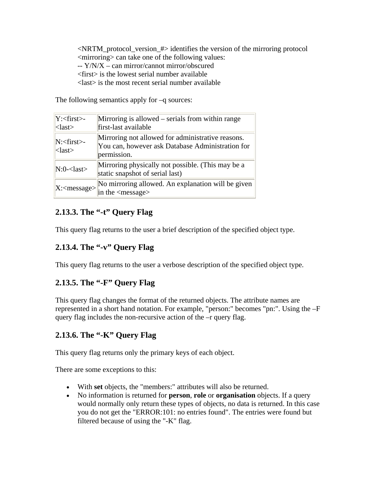<span id="page-25-0"></span><NRTM\_protocol\_version\_#> identifies the version of the mirroring protocol <mirroring> can take one of the following values: -- Y/N/X – can mirror/cannot mirror/obscured <first> is the lowest serial number available <last> is the most recent serial number available

The following semantics apply for –q sources:

| $Y:\leq\text{first}$<br>$\langle$ last $\rangle$                    | Mirroring is allowed – serials from within range<br>first-last available                                             |
|---------------------------------------------------------------------|----------------------------------------------------------------------------------------------------------------------|
| N: <first><br/><math>\langle</math>last<math>\rangle</math></first> | Mirroring not allowed for administrative reasons.<br>You can, however ask Database Administration for<br>permission. |
| $N:0$ - $\langle$ last $\rangle$                                    | Mirroring physically not possible. (This may be a<br>static snapshot of serial last)                                 |
| $X:\langle$ message>                                                | No mirroring allowed. An explanation will be given<br>in the $\langle$ message $\rangle$                             |

## **2.13.3. The "-t" Query Flag**

This query flag returns to the user a brief description of the specified object type.

## **2.13.4. The "-v" Query Flag**

This query flag returns to the user a verbose description of the specified object type.

## **2.13.5. The "-F" Query Flag**

This query flag changes the format of the returned objects. The attribute names are represented in a short hand notation. For example, "person:" becomes "pn:". Using the –F query flag includes the non-recursive action of the –r query flag.

## **2.13.6. The "-K" Query Flag**

This query flag returns only the primary keys of each object.

There are some exceptions to this:

- With **set** objects, the "members:" attributes will also be returned.
- No information is returned for **person**, **role** or **organisation** objects. If a query would normally only return these types of objects, no data is returned. In this case you do not get the "ERROR:101: no entries found". The entries were found but filtered because of using the "-K" flag.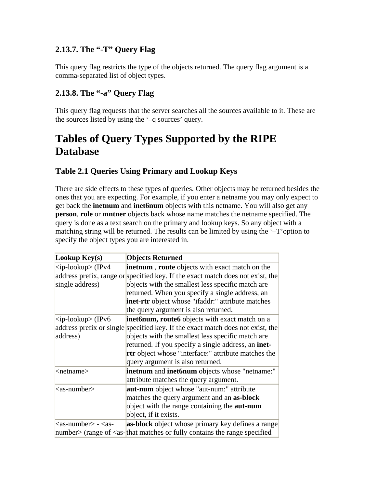## <span id="page-26-0"></span>**2.13.7. The "-T" Query Flag**

This query flag restricts the type of the objects returned. The query flag argument is a comma-separated list of object types.

## **2.13.8. The "-a" Query Flag**

This query flag requests that the server searches all the sources available to it. These are the sources listed by using the '–q sources' query.

## **Tables of Query Types Supported by the RIPE Database**

## **Table 2.1 Queries Using Primary and Lookup Keys**

There are side effects to these types of queries. Other objects may be returned besides the ones that you are expecting. For example, if you enter a netname you may only expect to get back the **inetnum** and **inet6num** objects with this netname. You will also get any **person**, **role** or **mntner** objects back whose name matches the netname specified. The query is done as a text search on the primary and lookup keys. So any object with a matching string will be returned. The results can be limited by using the '–T'option to specify the object types you are interested in.

| Lookup $Key(s)$                       | <b>Objects Returned</b>                                                                       |
|---------------------------------------|-----------------------------------------------------------------------------------------------|
| $<$ ip-lookup> (IPv4                  | inetnum, route objects with exact match on the                                                |
|                                       | address prefix, range or specified key. If the exact match does not exist, the                |
| single address)                       | objects with the smallest less specific match are                                             |
|                                       | returned. When you specify a single address, an                                               |
|                                       | inet-rtr object whose "ifaddr:" attribute matches                                             |
|                                       | the query argument is also returned.                                                          |
| $<$ ip-lookup> (IPv6                  | <b>inet6num, route6</b> objects with exact match on a                                         |
|                                       | address prefix or single specified key. If the exact match does not exist, the                |
| address)                              | objects with the smallest less specific match are                                             |
|                                       | returned. If you specify a single address, an inet-                                           |
|                                       | rtr object whose "interface:" attribute matches the                                           |
|                                       | query argument is also returned.                                                              |
| <netname></netname>                   | inetnum and inet6num objects whose "netname:"                                                 |
|                                       | attribute matches the query argument.                                                         |
| $\langle$ as-number $\rangle$         | <b>aut-num</b> object whose "aut-num:" attribute                                              |
|                                       | matches the query argument and an as-block                                                    |
|                                       | object with the range containing the <b>aut-num</b>                                           |
|                                       | object, if it exists.                                                                         |
| $\langle$ as-number $> - \langle$ as- | as-block object whose primary key defines a range                                             |
|                                       | number $\ge$ (range of $\le$ as- $\lfloor$ that matches or fully contains the range specified |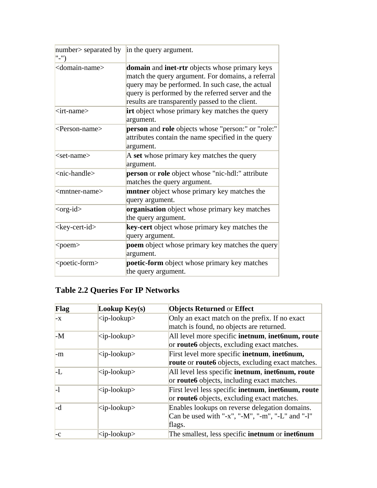<span id="page-27-0"></span>

| number> separated by<br>$"$ -") | in the query argument.                                                                                                                                                                                                                                                        |  |
|---------------------------------|-------------------------------------------------------------------------------------------------------------------------------------------------------------------------------------------------------------------------------------------------------------------------------|--|
| <domain-name></domain-name>     | <b>domain</b> and <b>inet-rtr</b> objects whose primary keys<br>match the query argument. For domains, a referral<br>query may be performed. In such case, the actual<br>query is performed by the referred server and the<br>results are transparently passed to the client. |  |
| $\langle$ irt-name $\rangle$    | <b>irt</b> object whose primary key matches the query<br>argument.                                                                                                                                                                                                            |  |
| <person-name></person-name>     | person and role objects whose "person:" or "role:"<br>attributes contain the name specified in the query<br>argument.                                                                                                                                                         |  |
| $<$ set-name $>$                | A set whose primary key matches the query<br>argument.                                                                                                                                                                                                                        |  |
| <nic-handle></nic-handle>       | person or role object whose "nic-hdl:" attribute<br>matches the query argument.                                                                                                                                                                                               |  |
| <mntner-name></mntner-name>     | <b>mntner</b> object whose primary key matches the<br>query argument.                                                                                                                                                                                                         |  |
| $<$ org-id $>$                  | organisation object whose primary key matches<br>the query argument.                                                                                                                                                                                                          |  |
| <key-cert-id></key-cert-id>     | key-cert object whose primary key matches the<br>query argument.                                                                                                                                                                                                              |  |
| <poem></poem>                   | poem object whose primary key matches the query<br>argument.                                                                                                                                                                                                                  |  |
| <poetic-form></poetic-form>     | poetic-form object whose primary key matches<br>the query argument.                                                                                                                                                                                                           |  |

## **Table 2.2 Queries For IP Networks**

| Flag         | Lookup $Key(s)$      | <b>Objects Returned or Effect</b>                               |
|--------------|----------------------|-----------------------------------------------------------------|
| $-x$         | $<$ ip-lookup>       | Only an exact match on the prefix. If no exact                  |
|              |                      | match is found, no objects are returned.                        |
| $-M$         | $<$ ip-lookup $>$    | All level more specific <b>inetnum</b> , <b>inet6num, route</b> |
|              |                      | or <b>route6</b> objects, excluding exact matches.              |
| -m           | $<$ ip-lookup $>$    | First level more specific inetnum, inet6num,                    |
|              |                      | <b>route</b> or <b>route6</b> objects, excluding exact matches. |
| ŀL           | $\langle$ ip-lookup> | All level less specific <b>inetnum</b> , <b>inet6num, route</b> |
|              |                      | or <b>route6</b> objects, including exact matches.              |
| $\mathsf{L}$ | $<$ ip-lookup $>$    | First level less specific inetnum, inet6num, route              |
|              |                      | or <b>route6</b> objects, excluding exact matches.              |
| -d           | $<$ ip-lookup $>$    | Enables lookups on reverse delegation domains.                  |
|              |                      | Can be used with "-x", "-M", "-m", "-L" and "-l"                |
|              |                      | flags.                                                          |
| $-c$         | $<$ ip-lookup>       | The smallest, less specific <b>inetnum</b> or <b>inet6num</b>   |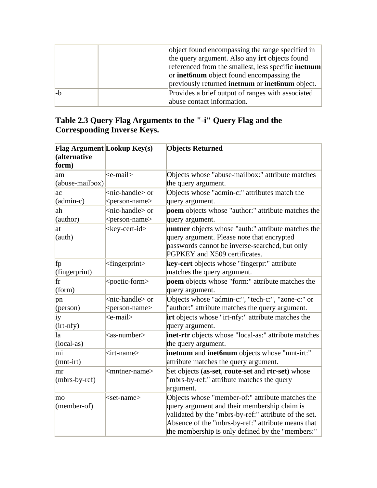<span id="page-28-0"></span>

|      | object found encompassing the range specified in           |
|------|------------------------------------------------------------|
|      | the query argument. Also any <b>irt</b> objects found      |
|      | referenced from the smallest, less specific <b>inetnum</b> |
|      | or <b>inet6num</b> object found encompassing the           |
|      | previously returned inetnum or inet6num object.            |
| $-h$ | Provides a brief output of ranges with associated          |
|      | abuse contact information.                                 |

## **Table 2.3 Query Flag Arguments to the "-i" Query Flag and the Corresponding Inverse Keys.**

| <b>Flag Argument Lookup Key(s)</b> |                              | <b>Objects Returned</b>                               |
|------------------------------------|------------------------------|-------------------------------------------------------|
| (alternative                       |                              |                                                       |
| form)                              |                              |                                                       |
| am                                 | <e-mail></e-mail>            | Objects whose "abuse-mailbox:" attribute matches      |
| (abuse-mailbox)                    |                              | the query argument.                                   |
| ac                                 | <nic-handle> or</nic-handle> | Objects whose "admin-c:" attributes match the         |
| $(admin-c)$                        | <person-name></person-name>  | query argument.                                       |
| ah                                 | <nic-handle> or</nic-handle> | poem objects whose "author:" attribute matches the    |
| (author)                           | <person-name></person-name>  | query argument.                                       |
| at                                 | <key-cert-id></key-cert-id>  | mntner objects whose "auth:" attribute matches the    |
| (auth)                             |                              | query argument. Please note that encrypted            |
|                                    |                              | passwords cannot be inverse-searched, but only        |
|                                    |                              | PGPKEY and X509 certificates.                         |
| fp                                 | $<$ fingerprint $>$          | key-cert objects whose "fingerpr:" attribute          |
| (fingerprint)                      |                              | matches the query argument.                           |
| fr                                 | <poetic-form></poetic-form>  | poem objects whose "form:" attribute matches the      |
| (form)                             |                              | query argument.                                       |
| pn                                 | <nic-handle> or</nic-handle> | Objects whose "admin-c:", "tech-c:", "zone-c:" or     |
| (person)                           | <person-name></person-name>  | "author:" attribute matches the query argument.       |
| iy                                 | <e-mail></e-mail>            | irt objects whose "irt-nfy:" attribute matches the    |
| $(int-nfy)$                        |                              | query argument.                                       |
| la                                 | $as-number$                  | inet-rtr objects whose "local-as:" attribute matches  |
| $(local-as)$                       |                              | the query argument.                                   |
| mi                                 | $\langle$ irt-name $\rangle$ | inetnum and inet6num objects whose "mnt-irt:"         |
| $(mnt-irt)$                        |                              | attribute matches the query argument.                 |
| mr                                 | <mntner-name></mntner-name>  | Set objects (as-set, route-set and rtr-set) whose     |
| $(mbrs-by-ref)$                    |                              | "mbrs-by-ref:" attribute matches the query            |
|                                    |                              | argument.                                             |
| mo                                 | $<$ set-name $>$             | Objects whose "member-of:" attribute matches the      |
| $(member-of)$                      |                              | query argument and their membership claim is          |
|                                    |                              | validated by the "mbrs-by-ref:" attribute of the set. |
|                                    |                              | Absence of the "mbrs-by-ref:" attribute means that    |
|                                    |                              | the membership is only defined by the "members:"      |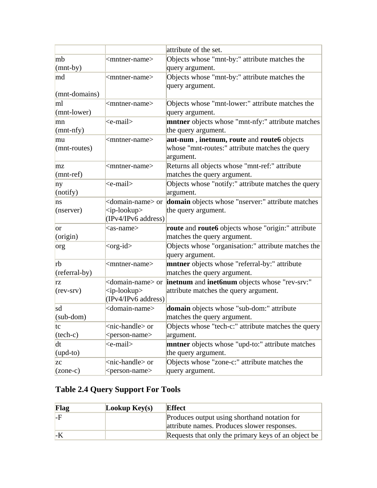<span id="page-29-0"></span>

|                   |                              | attribute of the set.                                                                      |
|-------------------|------------------------------|--------------------------------------------------------------------------------------------|
| mb                | <mntner-name></mntner-name>  | Objects whose "mnt-by:" attribute matches the                                              |
| $(mnt-by)$        |                              | query argument.                                                                            |
| md                | <mntner-name></mntner-name>  | Objects whose "mnt-by:" attribute matches the                                              |
|                   |                              | query argument.                                                                            |
| $(mnt-domain)$    |                              |                                                                                            |
| ml                | <mntner-name></mntner-name>  | Objects whose "mnt-lower:" attribute matches the                                           |
| (mnt-lower)       |                              | query argument.                                                                            |
| mn                | <e-mail></e-mail>            | mntner objects whose "mnt-nfy:" attribute matches                                          |
| $(mnt-nfy)$       |                              | the query argument.                                                                        |
| mu                | <mntner-name></mntner-name>  | aut-num, inetnum, route and route6 objects                                                 |
| (mnt-routes)      |                              | whose "mnt-routes:" attribute matches the query                                            |
|                   |                              | argument.                                                                                  |
| mz                | <mntner-name></mntner-name>  | Returns all objects whose "mnt-ref:" attribute                                             |
| $(mnt-ref)$       |                              | matches the query argument.                                                                |
| ny                | <e-mail></e-mail>            | Objects whose "notify:" attribute matches the query                                        |
| (notiny)          |                              | argument.                                                                                  |
| ns                |                              | <domain-name> or domain objects whose "nserver:" attribute matches</domain-name>           |
| (nserver)         | $\langle$ ip-lookup>         | the query argument.                                                                        |
|                   | (IPv4/IPv6 address)          |                                                                                            |
| <b>or</b>         | <as-name></as-name>          | route and route6 objects whose "origin:" attribute                                         |
| (origin)          |                              | matches the query argument.                                                                |
| org               | $<$ org-id $>$               | Objects whose "organisation:" attribute matches the                                        |
|                   |                              | query argument.                                                                            |
| rb                | <mntner-name></mntner-name>  | mntner objects whose "referral-by:" attribute                                              |
| (referral-by)     |                              | matches the query argument.                                                                |
| rz                |                              | <domain-name> or <b>inetnum</b> and <b>inet6num</b> objects whose "rev-srv:"</domain-name> |
| $(rev-srv)$       | $<$ ip-lookup>               | attribute matches the query argument.                                                      |
|                   | (IPv4/IPv6 address)          |                                                                                            |
| sd                | <domain-name></domain-name>  | domain objects whose "sub-dom:" attribute                                                  |
| $(sub-dom)$       |                              | matches the query argument.                                                                |
| tc                | <nic-handle> or</nic-handle> | Objects whose "tech-c:" attribute matches the query                                        |
| $(\text{tech-c})$ | <person-name></person-name>  | argument.                                                                                  |
| dt                | <e-mail></e-mail>            | <b>mntner</b> objects whose "upd-to:" attribute matches                                    |
| $upd-to)$         |                              | the query argument.                                                                        |
| <b>ZC</b>         | <nic-handle> or</nic-handle> | Objects whose "zone-c:" attribute matches the                                              |
| $(zone-c)$        | <person-name></person-name>  | query argument.                                                                            |

## **Table 2.4 Query Support For Tools**

| <b>Flag</b> | Lookup $Key(s)$ | <b>Effect</b>                                       |
|-------------|-----------------|-----------------------------------------------------|
| -F          |                 | Produces output using shorthand notation for        |
|             |                 | attribute names. Produces slower responses.         |
|             |                 | Requests that only the primary keys of an object be |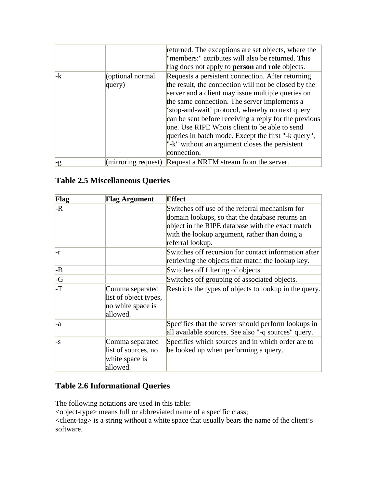<span id="page-30-0"></span>

|      |                            | returned. The exceptions are set objects, where the<br>"members:" attributes will also be returned. This<br>flag does not apply to <b>person</b> and <b>role</b> objects.                                                                                                                                                                                                                                                                                                                               |
|------|----------------------------|---------------------------------------------------------------------------------------------------------------------------------------------------------------------------------------------------------------------------------------------------------------------------------------------------------------------------------------------------------------------------------------------------------------------------------------------------------------------------------------------------------|
| $-k$ | (optional normal<br>query) | Requests a persistent connection. After returning<br>the result, the connection will not be closed by the<br>server and a client may issue multiple queries on<br>the same connection. The server implements a<br>'stop-and-wait' protocol, whereby no next query<br>can be sent before receiving a reply for the previous<br>one. Use RIPE Whois client to be able to send<br>queries in batch mode. Except the first "-k query",<br>"- $k$ " without an argument closes the persistent<br>connection. |
| $-g$ |                            | (mirroring request) Request a NRTM stream from the server.                                                                                                                                                                                                                                                                                                                                                                                                                                              |

## **Table 2.5 Miscellaneous Queries**

| Flag         | Flag Argument                                                             | <b>Effect</b>                                                                                              |
|--------------|---------------------------------------------------------------------------|------------------------------------------------------------------------------------------------------------|
| $-R$         |                                                                           | Switches off use of the referral mechanism for                                                             |
|              |                                                                           | domain lookups, so that the database returns an                                                            |
|              |                                                                           | object in the RIPE database with the exact match                                                           |
|              |                                                                           | with the lookup argument, rather than doing a                                                              |
|              |                                                                           | referral lookup.                                                                                           |
| l-r          |                                                                           | Switches off recursion for contact information after<br>retrieving the objects that match the lookup key.  |
| $-B$         |                                                                           | Switches off filtering of objects.                                                                         |
| $-G$         |                                                                           | Switches off grouping of associated objects.                                                               |
| -T           | Comma separated<br>list of object types,<br>no white space is<br>allowed. | Restricts the types of objects to lookup in the query.                                                     |
| $-a$         |                                                                           | Specifies that the server should perform lookups in<br>all available sources. See also "-q sources" query. |
| $\mathsf{S}$ | Comma separated                                                           | Specifies which sources and in which order are to                                                          |
|              | list of sources, no                                                       | be looked up when performing a query.                                                                      |
|              | white space is                                                            |                                                                                                            |
|              | allowed.                                                                  |                                                                                                            |

## **Table 2.6 Informational Queries**

The following notations are used in this table:

<object-type> means full or abbreviated name of a specific class;

<client-tag> is a string without a white space that usually bears the name of the client's software.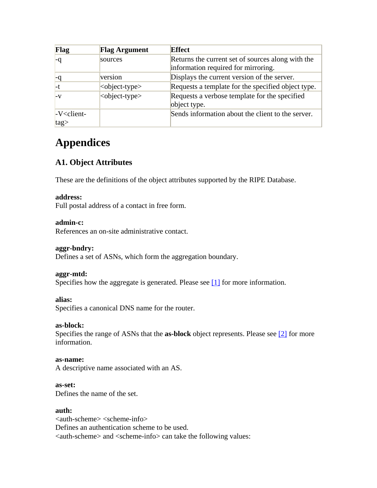<span id="page-31-0"></span>

| Flag           | <b>Flag Argument</b>        | <b>Effect</b>                                      |
|----------------|-----------------------------|----------------------------------------------------|
|                | sources                     | Returns the current set of sources along with the  |
|                |                             | information required for mirroring.                |
| -q             | version                     | Displays the current version of the server.        |
| l-t            | $\langle$ object-type $>$   | Requests a template for the specified object type. |
| $-V$           | <object-type></object-type> | Requests a verbose template for the specified      |
|                |                             | object type.                                       |
| $-V$ < client- |                             | Sends information about the client to the server.  |
| $ tag\rangle$  |                             |                                                    |

## **Appendices**

## **A1. Object Attributes**

These are the definitions of the object attributes supported by the RIPE Database.

#### **address:**

Full postal address of a contact in free form.

#### **admin-c:**

References an on-site administrative contact.

#### **aggr-bndry:**

Defines a set of ASNs, which form the aggregation boundary.

#### **aggr-mtd:**

Specifies how the aggregate is generated. Please see  $[1]$  for more information.

#### **alias:**

Specifies a canonical DNS name for the router.

#### **as-block:**

Specifies the range of ASNs that the **as-block** object represents. Please see [\[2\]](#page-45-0) for more information.

#### **as-name:**

A descriptive name associated with an AS.

#### **as-set:**

Defines the name of the set.

#### **auth:**

<auth-scheme> <scheme-info> Defines an authentication scheme to be used. <auth-scheme> and <scheme-info> can take the following values: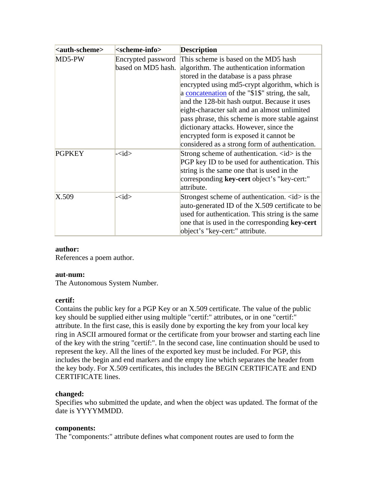| <auth-scheme></auth-scheme> | <scheme-info></scheme-info>              | <b>Description</b>                                                                                                                                                                                                                                                                                                                                                                                                                                                                                                         |
|-----------------------------|------------------------------------------|----------------------------------------------------------------------------------------------------------------------------------------------------------------------------------------------------------------------------------------------------------------------------------------------------------------------------------------------------------------------------------------------------------------------------------------------------------------------------------------------------------------------------|
| MD5-PW                      | Encrypted password<br>based on MD5 hash. | This scheme is based on the MD5 hash<br>algorithm. The authentication information<br>stored in the database is a pass phrase<br>encrypted using md5-crypt algorithm, which is<br>a concatenation of the "\$1\$" string, the salt,<br>and the 128-bit hash output. Because it uses<br>eight-character salt and an almost unlimited<br>pass phrase, this scheme is more stable against<br>dictionary attacks. However, since the<br>encrypted form is exposed it cannot be<br>considered as a strong form of authentication. |
| <b>PGPKEY</b>               | $-\langle id \rangle$                    | Strong scheme of authentication. $\langle id \rangle$ is the<br>PGP key ID to be used for authentication. This<br>string is the same one that is used in the<br>corresponding key-cert object's "key-cert:"<br>attribute.                                                                                                                                                                                                                                                                                                  |
| X.509                       | $-\text{id}$                             | Strongest scheme of authentication. $\langle id \rangle$ is the<br>auto-generated ID of the X.509 certificate to be<br>used for authentication. This string is the same<br>one that is used in the corresponding <b>key-cert</b><br>object's "key-cert:" attribute.                                                                                                                                                                                                                                                        |

#### **author:**

References a poem author.

#### **aut-num:**

The Autonomous System Number.

#### **certif:**

Contains the public key for a PGP Key or an X.509 certificate. The value of the public key should be supplied either using multiple "certif:" attributes, or in one "certif:" attribute. In the first case, this is easily done by exporting the key from your local key ring in ASCII armoured format or the certificate from your browser and starting each line of the key with the string "certif:". In the second case, line continuation should be used to represent the key. All the lines of the exported key must be included. For PGP, this includes the begin and end markers and the empty line which separates the header from the key body. For X.509 certificates, this includes the BEGIN CERTIFICATE and END CERTIFICATE lines.

#### **changed:**

Specifies who submitted the update, and when the object was updated. The format of the date is YYYYMMDD.

#### **components:**

The "components:" attribute defines what component routes are used to form the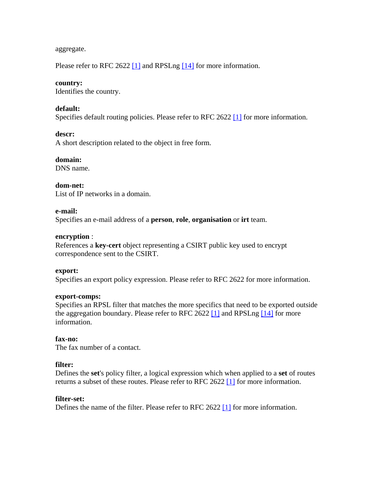aggregate.

Please refer to RFC 2622 [\[1\]](#page-45-0) and RPSLng [\[14\]](#page-46-0) for more information.

#### **country:**

Identifies the country.

#### **default:**

Specifies default routing policies. Please refer to RFC 2622 [\[1\]](#page-45-0) for more information.

#### **descr:**

A short description related to the object in free form.

#### **domain:**

DNS name.

#### **dom-net:**

List of IP networks in a domain.

#### **e-mail:**

Specifies an e-mail address of a **person**, **role**, **organisation** or **irt** team.

#### **encryption** :

References a **key-cert** object representing a CSIRT public key used to encrypt correspondence sent to the CSIRT.

#### **export:**

Specifies an export policy expression. Please refer to RFC 2622 for more information.

#### **export-comps:**

Specifies an RPSL filter that matches the more specifics that need to be exported outside the aggregation boundary. Please refer to RFC 2622 [\[1\]](#page-45-0) and RPSLng [\[14\]](#page-46-0) for more information.

#### **fax-no:**

The fax number of a contact.

#### **filter:**

Defines the **set**'s policy filter, a logical expression which when applied to a **set** of routes returns a subset of these routes. Please refer to RFC 2622 [\[1\]](#page-45-0) for more information.

#### **filter-set:**

Defines the name of the filter. Please refer to RFC 2622 [\[1\]](#page-45-0) for more information.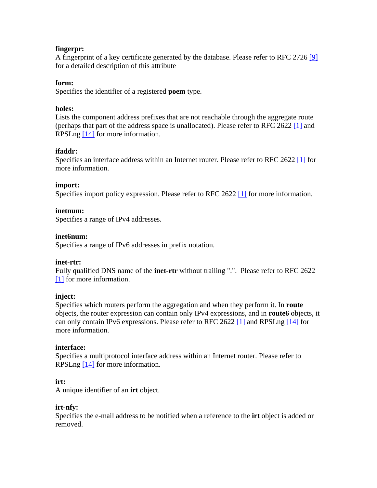#### **fingerpr:**

A fingerprint of a key certificate generated by the database. Please refer to RFC 2726 [\[9\]](#page-45-0) for a detailed description of this attribute

#### **form:**

Specifies the identifier of a registered **poem** type.

#### **holes:**

Lists the component address prefixes that are not reachable through the aggregate route (perhaps that part of the address space is unallocated). Please refer to RFC 2622 [\[1\]](#page-45-0) and RPSLng [\[14\]](#page-46-0) for more information.

#### **ifaddr:**

Specifies an interface address within an Internet router. Please refer to RFC 2622 [\[1\]](#page-45-0) for more information.

#### **import:**

Specifies import policy expression. Please refer to RFC 2622 [\[1\]](#page-45-0) for more information.

#### **inetnum:**

Specifies a range of IPv4 addresses.

#### **inet6num:**

Specifies a range of IPv6 addresses in prefix notation.

#### **inet-rtr:**

Fully qualified DNS name of the **inet-rtr** without trailing ".". Please refer to RFC 2622 [\[1\]](#page-45-0) for more information.

#### **inject:**

Specifies which routers perform the aggregation and when they perform it. In **route** objects, the router expression can contain only IPv4 expressions, and in **route6** objects, it can only contain IPv6 expressions. Please refer to RFC 2622 [\[1\]](#page-45-0) and RPSLng [\[14\]](#page-46-0) for more information.

#### **interface:**

Specifies a multiprotocol interface address within an Internet router. Please refer to RPSLng [\[14\]](#page-46-0) for more information.

#### **irt:**

A unique identifier of an **irt** object.

#### **irt-nfy:**

Specifies the e-mail address to be notified when a reference to the **irt** object is added or removed.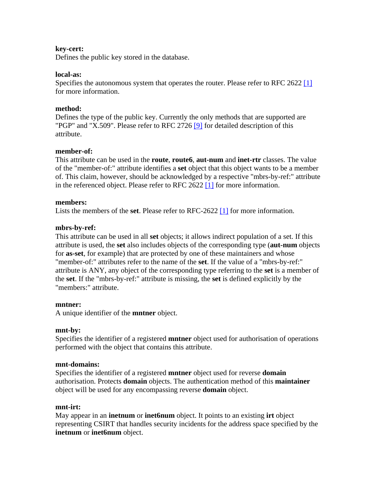#### **key-cert:**

Defines the public key stored in the database.

#### **local-as:**

Specifies the autonomous system that operates the router. Please refer to RFC 2622 [\[1\]](#page-45-0) for more information.

#### **method:**

Defines the type of the public key. Currently the only methods that are supported are "PGP" and "X.509". Please refer to RFC 2726 [\[9\]](#page-45-0) for detailed description of this attribute.

#### **member-of:**

This attribute can be used in the **route**, **route6**, **aut-num** and **inet-rtr** classes. The value of the "member-of:" attribute identifies a **set** object that this object wants to be a member of. This claim, however, should be acknowledged by a respective "mbrs-by-ref:" attribute in the referenced object. Please refer to RFC 2622 [\[1\]](#page-45-0) for more information.

#### **members:**

Lists the members of the **set**. Please refer to RFC-2622 [\[1\]](#page-45-0) for more information.

#### **mbrs-by-ref:**

This attribute can be used in all **set** objects; it allows indirect population of a set. If this attribute is used, the **set** also includes objects of the corresponding type (**aut-num** objects for **as-set**, for example) that are protected by one of these maintainers and whose "member-of:" attributes refer to the name of the **set**. If the value of a "mbrs-by-ref:" attribute is ANY, any object of the corresponding type referring to the **set** is a member of the **set**. If the "mbrs-by-ref:" attribute is missing, the **set** is defined explicitly by the "members:" attribute.

#### **mntner:**

A unique identifier of the **mntner** object.

#### **mnt-by:**

Specifies the identifier of a registered **mntner** object used for authorisation of operations performed with the object that contains this attribute.

#### **mnt-domains:**

Specifies the identifier of a registered **mntner** object used for reverse **domain** authorisation. Protects **domain** objects. The authentication method of this **maintainer** object will be used for any encompassing reverse **domain** object.

#### **mnt-irt:**

May appear in an **inetnum** or **inet6num** object. It points to an existing **irt** object representing CSIRT that handles security incidents for the address space specified by the **inetnum** or **inet6num** object.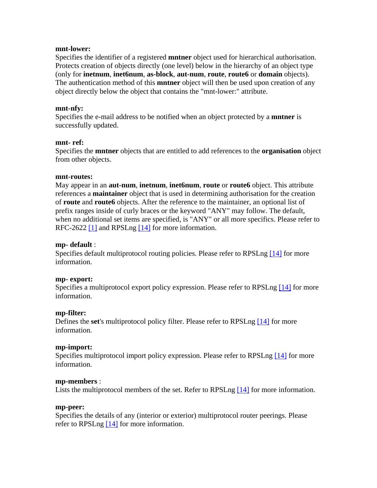#### **mnt-lower:**

Specifies the identifier of a registered **mntner** object used for hierarchical authorisation. Protects creation of objects directly (one level) below in the hierarchy of an object type (only for **inetnum**, **inet6num**, **as-block**, **aut-num**, **route**, **route6** or **domain** objects). The authentication method of this **mntner** object will then be used upon creation of any object directly below the object that contains the "mnt-lower:" attribute.

#### **mnt-nfy:**

Specifies the e-mail address to be notified when an object protected by a **mntner** is successfully updated.

#### **mnt- ref:**

Specifies the **mntner** objects that are entitled to add references to the **organisation** object from other objects.

#### **mnt-routes:**

May appear in an **aut-num**, **inetnum**, **inet6num**, **route** or **route6** object. This attribute references a **maintainer** object that is used in determining authorisation for the creation of **route** and **route6** objects. After the reference to the maintainer, an optional list of prefix ranges inside of curly braces or the keyword "ANY" may follow. The default, when no additional set items are specified, is "ANY" or all more specifics. Please refer to RFC-2622 [\[1\]](#page-45-0) and RPSLng [\[14\]](#page-46-0) for more information.

#### **mp- default** :

Specifies default multiprotocol routing policies. Please refer to RPSLng [\[14\]](#page-46-0) for more information.

#### **mp- export:**

Specifies a multiprotocol export policy expression. Please refer to RPSLng [\[14\]](#page-46-0) for more information.

#### **mp-filter:**

Defines the **set**'s multiprotocol policy filter. Please refer to RPSLng [\[14\]](#page-46-0) for more information.

#### **mp-import:**

Specifies multiprotocol import policy expression. Please refer to RPSLng [\[14\]](#page-46-0) for more information.

#### **mp-members** :

Lists the multiprotocol members of the set. Refer to RPSLng [\[14\]](#page-46-0) for more information.

#### **mp-peer:**

Specifies the details of any (interior or exterior) multiprotocol router peerings. Please refer to RPSLng [\[14\]](#page-46-0) for more information.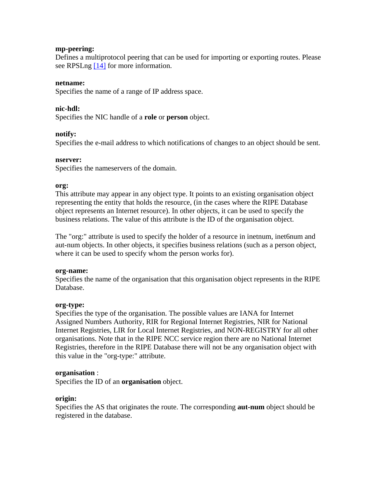#### **mp-peering:**

Defines a multiprotocol peering that can be used for importing or exporting routes. Please see RPSLng [\[14\]](#page-46-0) for more information.

#### **netname:**

Specifies the name of a range of IP address space.

#### **nic-hdl:**

Specifies the NIC handle of a **role** or **person** object.

#### **notify:**

Specifies the e-mail address to which notifications of changes to an object should be sent.

#### **nserver:**

Specifies the nameservers of the domain.

#### **org:**

This attribute may appear in any object type. It points to an existing organisation object representing the entity that holds the resource, (in the cases where the RIPE Database object represents an Internet resource). In other objects, it can be used to specify the business relations. The value of this attribute is the ID of the organisation object.

The "org:" attribute is used to specify the holder of a resource in inetnum, inet6num and aut-num objects. In other objects, it specifies business relations (such as a person object, where it can be used to specify whom the person works for).

#### **org-name:**

Specifies the name of the organisation that this organisation object represents in the RIPE Database.

#### **org-type:**

Specifies the type of the organisation. The possible values are IANA for Internet Assigned Numbers Authority, RIR for Regional Internet Registries, NIR for National Internet Registries, LIR for Local Internet Registries, and NON-REGISTRY for all other organisations. Note that in the RIPE NCC service region there are no National Internet Registries, therefore in the RIPE Database there will not be any organisation object with this value in the "org-type:" attribute.

#### **organisation** :

Specifies the ID of an **organisation** object.

#### **origin:**

Specifies the AS that originates the route. The corresponding **aut-num** object should be registered in the database.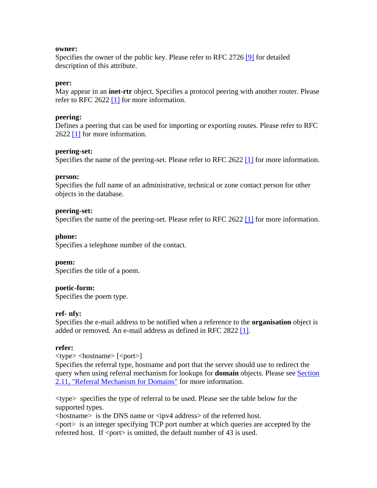#### **owner:**

Specifies the owner of the public key. Please refer to RFC 2726 [\[9\]](#page-45-0) for detailed description of this attribute.

#### **peer:**

May appear in an **inet-rtr** object. Specifies a protocol peering with another router. Please refer to RFC 2622  $[1]$  for more information.

#### **peering:**

Defines a peering that can be used for importing or exporting routes. Please refer to RFC 2622 [\[1\]](#page-45-0) for more information.

#### **peering-set:**

Specifies the name of the peering-set. Please refer to RFC 2622 [\[1\]](#page-45-0) for more information.

#### **person:**

Specifies the full name of an administrative, technical or zone contact person for other objects in the database.

#### **peering-set:**

Specifies the name of the peering-set. Please refer to RFC 2622 [\[1\]](#page-45-0) for more information.

#### **phone:**

Specifies a telephone number of the contact.

#### **poem:**

Specifies the title of a poem.

#### **poetic-form:**

Specifies the poem type.

#### **ref- nfy:**

Specifies the e-mail address to be notified when a reference to the **organisation** object is added or removed. An e-mail address as defined in RFC 2822 [\[1\].](#page-45-0)

#### **refer:**

 $\langle$ type $>$  $\langle$ hostname $>$  $\langle$ port $>$ ]

Specifies the referral type, hostname and port that the server should use to redirect the query when using referral mechanism for lookups for **domain** objects. Please see [Section](#page-21-0)  [2.11, "Referral Mechanism for Domains"](#page-21-0) for more information.

<type> specifies the type of referral to be used. Please see the table below for the supported types.

<hostname> is the DNS name or <ipv4 address> of the referred host. <port> is an integer specifying TCP port number at which queries are accepted by the referred host. If  $\langle$  port $\rangle$  is omitted, the default number of 43 is used.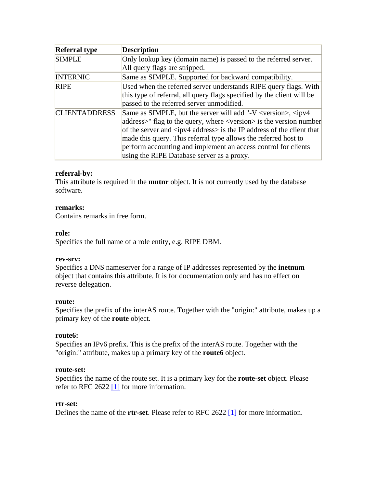| <b>Referral type</b> | <b>Description</b>                                                                                                                                                                                                                                                                                                                                                                                                                                                     |
|----------------------|------------------------------------------------------------------------------------------------------------------------------------------------------------------------------------------------------------------------------------------------------------------------------------------------------------------------------------------------------------------------------------------------------------------------------------------------------------------------|
| <b>SIMPLE</b>        | Only lookup key (domain name) is passed to the referred server.                                                                                                                                                                                                                                                                                                                                                                                                        |
|                      | All query flags are stripped.                                                                                                                                                                                                                                                                                                                                                                                                                                          |
| <b>INTERNIC</b>      | Same as SIMPLE. Supported for backward compatibility.                                                                                                                                                                                                                                                                                                                                                                                                                  |
| <b>RIPE</b>          | Used when the referred server understands RIPE query flags. With<br>this type of referral, all query flags specified by the client will be<br>passed to the referred server unmodified.                                                                                                                                                                                                                                                                                |
| <b>CLIENTADDRESS</b> | Same as SIMPLE, but the server will add "-V <version>, <ipv4<br>address&gt;" flag to the query, where <version> is the version number<br/>of the server and <math>\langle</math>ipv4 address<math>&gt;</math> is the IP address of the client that<br/>made this query. This referral type allows the referred host to<br/>perform accounting and implement an access control for clients<br/>using the RIPE Database server as a proxy.</version></ipv4<br></version> |

#### **referral-by:**

This attribute is required in the **mntnr** object. It is not currently used by the database software.

#### **remarks:**

Contains remarks in free form.

#### **role:**

Specifies the full name of a role entity, e.g. RIPE DBM.

#### **rev-srv:**

Specifies a DNS nameserver for a range of IP addresses represented by the **inetnum** object that contains this attribute. It is for documentation only and has no effect on reverse delegation.

#### **route:**

Specifies the prefix of the interAS route. Together with the "origin:" attribute, makes up a primary key of the **route** object.

#### **route6:**

Specifies an IPv6 prefix. This is the prefix of the interAS route. Together with the "origin:" attribute, makes up a primary key of the **route6** object.

#### **route-set:**

Specifies the name of the route set. It is a primary key for the **route-set** object. Please refer to RFC 2622 [\[1\]](#page-45-0) for more information.

#### **rtr-set:**

Defines the name of the **rtr-set**. Please refer to RFC 2622 [\[1\]](#page-45-0) for more information.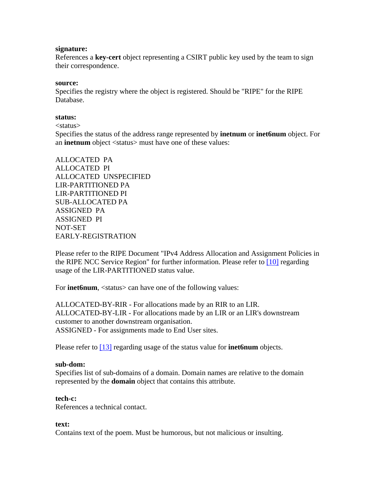#### **signature:**

References a **key-cert** object representing a CSIRT public key used by the team to sign their correspondence.

#### **source:**

Specifies the registry where the object is registered. Should be "RIPE" for the RIPE Database.

#### **status:**

<status>

Specifies the status of the address range represented by **inetnum** or **inet6num** object. For an **inetnum** object <status> must have one of these values:

ALLOCATED PA ALLOCATED PI ALLOCATED UNSPECIFIED LIR-PARTITIONED PA LIR-PARTITIONED PI SUB-ALLOCATED PA ASSIGNED PA ASSIGNED PI NOT-SET EARLY-REGISTRATION

Please refer to the RIPE Document "IPv4 Address Allocation and Assignment Policies in the RIPE NCC Service Region" for further information. Please refer to [\[10\]](#page-45-0) regarding usage of the LIR-PARTITIONED status value.

For **inet6num**, <status> can have one of the following values:

ALLOCATED-BY-RIR - For allocations made by an RIR to an LIR. ALLOCATED-BY-LIR - For allocations made by an LIR or an LIR's downstream customer to another downstream organisation. ASSIGNED - For assignments made to End User sites.

Please refer to [\[13\]](#page-46-0) regarding usage of the status value for **inet6num** objects.

#### **sub-dom:**

Specifies list of sub-domains of a domain. Domain names are relative to the domain represented by the **domain** object that contains this attribute.

#### **tech-c:**

References a technical contact.

#### **text:**

Contains text of the poem. Must be humorous, but not malicious or insulting.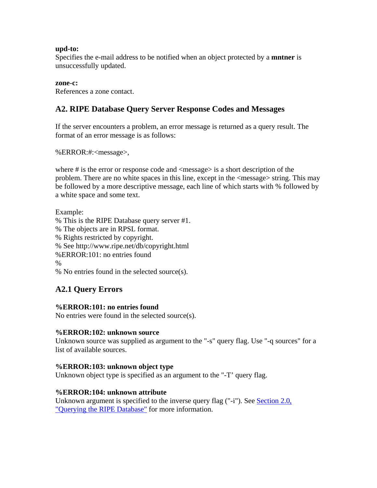#### <span id="page-41-0"></span>**upd-to:**

Specifies the e-mail address to be notified when an object protected by a **mntner** is unsuccessfully updated.

#### **zone-c:**

References a zone contact.

### **A2. RIPE Database Query Server Response Codes and Messages**

If the server encounters a problem, an error message is returned as a query result. The format of an error message is as follows:

%ERROR:#:<message>,

where # is the error or response code and <message> is a short description of the problem. There are no white spaces in this line, except in the <message> string. This may be followed by a more descriptive message, each line of which starts with % followed by a white space and some text.

#### Example:

% This is the RIPE Database query server #1. % The objects are in RPSL format. % Rights restricted by copyright. % See http://www.ripe.net/db/copyright.html %ERROR:101: no entries found % % No entries found in the selected source(s).

## **A2.1 Query Errors**

#### **%ERROR:101: no entries found**

No entries were found in the selected source(s).

#### **%ERROR:102: unknown source**

Unknown source was supplied as argument to the "-s" query flag. Use "-q sources" for a list of available sources.

#### **%ERROR:103: unknown object type**

Unknown object type is specified as an argument to the "-T' query flag.

#### **%ERROR:104: unknown attribute**

Unknown argument is specified to the inverse query flag ("-i"). See Section 2.0, ["Querying the RIPE Database"](#page-11-0) for more information.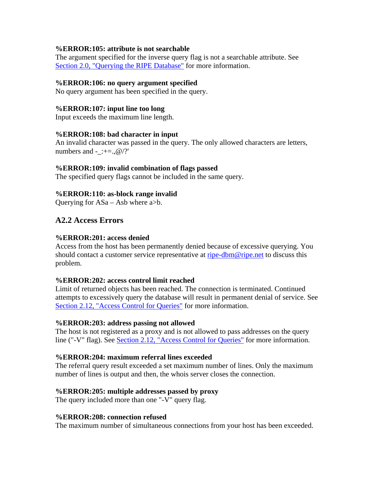#### <span id="page-42-0"></span>**%ERROR:105: attribute is not searchable**

The argument specified for the inverse query flag is not a searchable attribute. See [Section 2.0, "Querying the RIPE Database"](#page-11-0) for more information.

#### **%ERROR:106: no query argument specified**

No query argument has been specified in the query.

#### **%ERROR:107: input line too long**

Input exceeds the maximum line length.

#### **%ERROR:108: bad character in input**

An invalid character was passed in the query. The only allowed characters are letters, numbers and - :+=., $@$  /?'

#### **%ERROR:109: invalid combination of flags passed**

The specified query flags cannot be included in the same query.

#### **%ERROR:110: as-block range invalid**

Querying for  $ASa - Asb$  where  $a > b$ .

### **A2.2 Access Errors**

#### **%ERROR:201: access denied**

Access from the host has been permanently denied because of excessive querying. You should contact a customer service representative at [ripe-dbm@ripe.net](mailto:ripe-dbm@ripe.net) to discuss this problem.

#### **%ERROR:202: access control limit reached**

Limit of returned objects has been reached. The connection is terminated. Continued attempts to excessively query the database will result in permanent denial of service. See [Section 2.12, "Access Control for Queries"](#page-23-0) for more information.

#### **%ERROR:203: address passing not allowed**

The host is not registered as a proxy and is not allowed to pass addresses on the query line ("-V" flag). See [Section 2.12, "Access Control for Queries"](#page-23-0) for more information.

#### **%ERROR:204: maximum referral lines exceeded**

The referral query result exceeded a set maximum number of lines. Only the maximum number of lines is output and then, the whois server closes the connection.

#### **%ERROR:205: multiple addresses passed by proxy**

The query included more than one "-V" query flag.

#### **%ERROR:208: connection refused**

The maximum number of simultaneous connections from your host has been exceeded.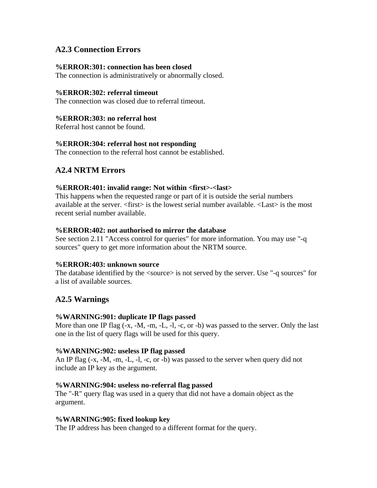### <span id="page-43-0"></span>**A2.3 Connection Errors**

#### **%ERROR:301: connection has been closed**

The connection is administratively or abnormally closed.

#### **%ERROR:302: referral timeout**

The connection was closed due to referral timeout.

#### **%ERROR:303: no referral host**

Referral host cannot be found.

#### **%ERROR:304: referral host not responding**

The connection to the referral host cannot be established.

### **A2.4 NRTM Errors**

#### **%ERROR:401: invalid range: Not within <first>-<last>**

This happens when the requested range or part of it is outside the serial numbers available at the server. <first> is the lowest serial number available. <Last> is the most recent serial number available.

#### **%ERROR:402: not authorised to mirror the database**

See section 2.11 "Access control for queries" for more information. You may use "-q sources" query to get more information about the NRTM source.

#### **%ERROR:403: unknown source**

The database identified by the  $\langle$ source $\rangle$  is not served by the server. Use "-q sources" for a list of available sources.

#### **A2.5 Warnings**

#### **%WARNING:901: duplicate IP flags passed**

More than one IP flag (-x, -M, -m, -L, -l, -c, or -b) was passed to the server. Only the last one in the list of query flags will be used for this query.

#### **%WARNING:902: useless IP flag passed**

An IP flag (-x, -M, -m, -L, -l, -c, or -b) was passed to the server when query did not include an IP key as the argument.

#### **%WARNING:904: useless no-referral flag passed**

The "-R" query flag was used in a query that did not have a domain object as the argument.

#### **%WARNING:905: fixed lookup key**

The IP address has been changed to a different format for the query.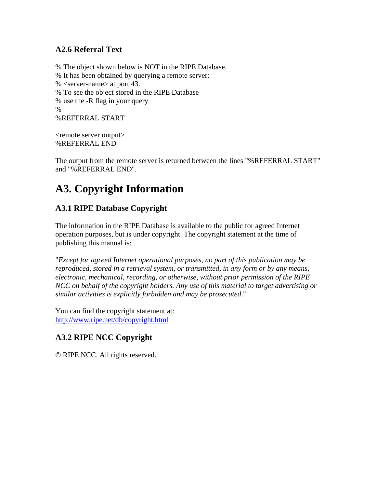## <span id="page-44-0"></span>**A2.6 Referral Text**

% The object shown below is NOT in the RIPE Database. % It has been obtained by querying a remote server: % <server-name> at port 43. % To see the object stored in the RIPE Database % use the -R flag in your query % %REFERRAL START

<remote server output> %REFERRAL END

The output from the remote server is returned between the lines "%REFERRAL START" and "%REFERRAL END".

## **A3. Copyright Information**

## **A3.1 RIPE Database Copyright**

The information in the RIPE Database is available to the public for agreed Internet operation purposes, but is under copyright. The copyright statement at the time of publishing this manual is:

"*Except for agreed Internet operational purposes, no part of this publication may be reproduced, stored in a retrieval system, or transmitted, in any form or by any means, electronic, mechanical, recording, or otherwise, without prior permission of the RIPE NCC on behalf of the copyright holders. Any use of this material to target advertising or similar activities is explicitly forbidden and may be prosecuted*."

You can find the copyright statement at: <http://www.ripe.net/db/copyright.html>

## **A3.2 RIPE NCC Copyright**

© RIPE NCC. All rights reserved.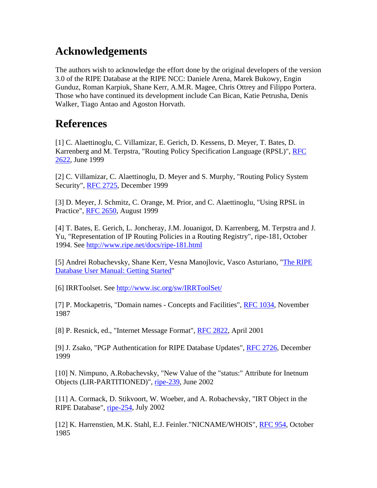## <span id="page-45-0"></span>**Acknowledgements**

The authors wish to acknowledge the effort done by the original developers of the version 3.0 of the RIPE Database at the RIPE NCC: Daniele Arena, Marek Bukowy, Engin Gunduz, Roman Karpiuk, Shane Kerr, A.M.R. Magee, Chris Ottrey and Filippo Portera. Those who have continued its development include Can Bican, Katie Petrusha, Denis Walker, Tiago Antao and Agoston Horvath.

## **References**

[1] C. Alaettinoglu, C. Villamizar, E. Gerich, D. Kessens, D. Meyer, T. Bates, D. Karrenberg and M. Terpstra, "Routing Policy Specification Language (RPSL)", [RFC](ftp://ftp.ripe.net/rfc/rfc2622.txt)  [2622](ftp://ftp.ripe.net/rfc/rfc2622.txt), June 1999

[2] C. Villamizar, C. Alaettinoglu, D. Meyer and S. Murphy, "Routing Policy System Security", [RFC 2725,](ftp://ftp.ripe.net/rfc/rfc2725.txt) December 1999

[3] D. Meyer, J. Schmitz, C. Orange, M. Prior, and C. Alaettinoglu, "Using RPSL in Practice", [RFC 2650](ftp://ftp.ripe.net/rfc/rfc2650.txt), August 1999

[4] T. Bates, E. Gerich, L. Joncheray, J.M. Jouanigot, D. Karrenberg, M. Terpstra and J. Yu, "Representation of IP Routing Policies in a Routing Registry", ripe-181, October 1994. See<http://www.ripe.net/docs/ripe-181.html>

[5] Andrei Robachevsky, Shane Kerr, Vesna Manojlovic, Vasco Asturiano, "[The RIPE](http://test-www.ripe.net/ripe/docs/ripe-402.html)  [Database User Manual: Getting Started"](http://test-www.ripe.net/ripe/docs/ripe-402.html)

[6] IRRToolset. See<http://www.isc.org/sw/IRRToolSet/>

[7] P. Mockapetris, "Domain names - Concepts and Facilities", [RFC 1034](ftp://ftp.ripe.net/rfc/rfc1034.txt), November 1987

[8] P. Resnick, ed., "Internet Message Format", [RFC 2822](ftp://ftp.ripe.net/rfc/rfc2822.txt), April 2001

[9] J. Zsako, "PGP Authentication for RIPE Database Updates", [RFC 2726](ftp://ftp.ripe.net/rfc/rfc2726.txt), December 1999

[10] N. Nimpuno, A.Robachevsky, "New Value of the "status:" Attribute for Inetnum Objects (LIR-PARTITIONED)", [ripe-239,](http://www.ripe.net/ripe/docs/ripe-239.html) June 2002

[11] A. Cormack, D. Stikvoort, W. Woeber, and A. Robachevsky, "IRT Object in the RIPE Database", [ripe-254,](http://www.ripe.net/ripe/docs/ripe-254.html) July 2002

[12] K. Harrenstien, M.K. Stahl, E.J. Feinler."NICNAME/WHOIS", [RFC 954,](ftp://ftp.ripe.net/rfc/rfc954.txt) October 1985